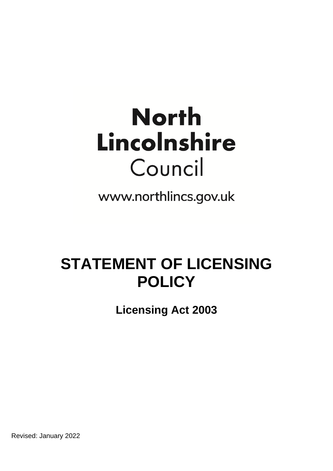# **North** Lincolnshire Council

www.northlincs.gov.uk

## **STATEMENT OF LICENSING POLICY**

**Licensing Act 2003** 

Revised: January 2022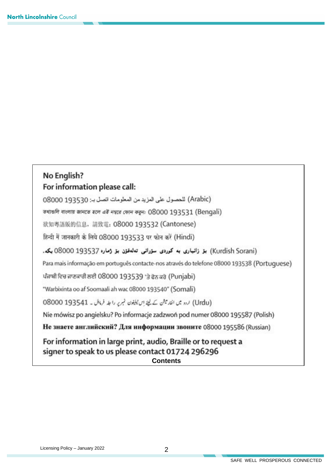## No English? For information please call:

(Arabic) للحصول على المزيد من المعلومات اتصل بـ: 08000 08000

তথাঙলি বাংলায় জানতে হলে এই নশ্বরে ফোন করুন: 08000 193531 (Bengali)

欲知粤語版的信息, 請致電: 08000 193532 (Cantonese)

हिन्दी में जानकारी के लिये 08000 193533 पर फोन करें (Hindi)

#### (Kurdish Sorani) بز زانیاری به کوردی سزرانی تەلەفزن بز ژماره 193537 08000 بکه.

Para mais informação em português contacte-nos através do telefone 08000 193538 (Portuguese)

ਪੰਜਾਬੀ ਵਿਚ ਜਾਣਕਾਰੀ ਲਈ 08000 193539 'ਤੇ ਫੋਨ ਕਰੋ (Punjabi)

"Warbixinta oo af Soomaali ah wac 08000 193540" (Somali)

(Urdu) اردو میں انقار میشن کے لیتے اس ٹیلیٹون نہرے را جلہ فرمائل ۔ 08000 08000

Nie mówisz po angielsku? Po informacje zadzwoń pod numer 08000 195587 (Polish)

Не знаете английский? Для информации звоните 08000 195586 (Russian)

For information in large print, audio, Braille or to request a signer to speak to us please contact 01724 296296 **Contents**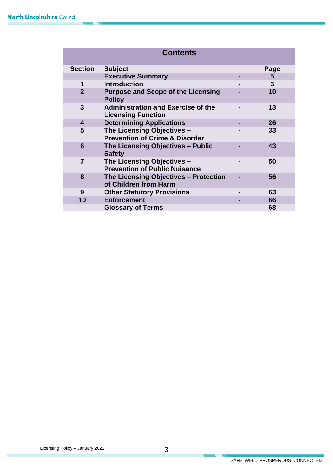| <b>Contents</b> |                                                                         |   |      |  |  |  |
|-----------------|-------------------------------------------------------------------------|---|------|--|--|--|
| <b>Section</b>  | <b>Subject</b>                                                          |   | Page |  |  |  |
|                 | <b>Executive Summary</b>                                                |   | 5    |  |  |  |
| 1               | <b>Introduction</b>                                                     |   | 6    |  |  |  |
| $\overline{2}$  | <b>Purpose and Scope of the Licensing</b><br><b>Policy</b>              |   | 10   |  |  |  |
| 3               | <b>Administration and Exercise of the</b><br><b>Licensing Function</b>  |   | 13   |  |  |  |
| 4               | <b>Determining Applications</b>                                         | ۰ | 26   |  |  |  |
| 5               | The Licensing Objectives -<br><b>Prevention of Crime &amp; Disorder</b> |   | 33   |  |  |  |
| 6               | The Licensing Objectives - Public<br><b>Safety</b>                      |   | 43   |  |  |  |
| 7               | The Licensing Objectives -<br><b>Prevention of Public Nuisance</b>      |   | 50   |  |  |  |
| 8               | The Licensing Objectives - Protection<br>of Children from Harm          |   | 56   |  |  |  |
| 9               | <b>Other Statutory Provisions</b>                                       |   | 63   |  |  |  |
| 10              | <b>Enforcement</b>                                                      |   | 66   |  |  |  |
|                 | <b>Glossary of Terms</b>                                                |   | 68   |  |  |  |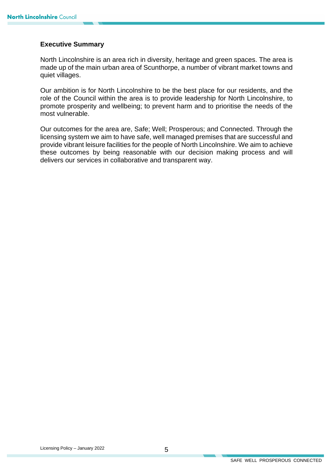#### **Executive Summary**

North Lincolnshire is an area rich in diversity, heritage and green spaces. The area is made up of the main urban area of Scunthorpe, a number of vibrant market towns and quiet villages.

Our ambition is for North Lincolnshire to be the best place for our residents, and the role of the Council within the area is to provide leadership for North Lincolnshire, to promote prosperity and wellbeing; to prevent harm and to prioritise the needs of the most vulnerable.

Our outcomes for the area are, Safe; Well; Prosperous; and Connected. Through the licensing system we aim to have safe, well managed premises that are successful and provide vibrant leisure facilities for the people of North Lincolnshire. We aim to achieve these outcomes by being reasonable with our decision making process and will delivers our services in collaborative and transparent way.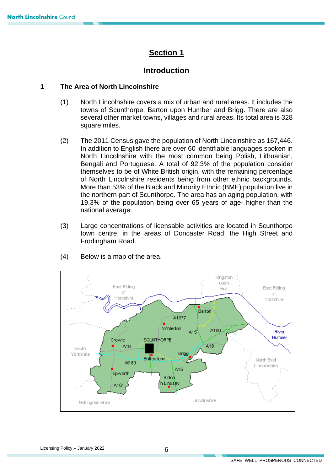## **Section 1**

## **Introduction**

#### **1 The Area of North Lincolnshire**

- (1) North Lincolnshire covers a mix of urban and rural areas. It includes the towns of Scunthorpe, Barton upon Humber and Brigg. There are also several other market towns, villages and rural areas. Its total area is 328 square miles.
- (2) The 2011 Census gave the population of North Lincolnshire as 167,446. In addition to English there are over 60 identifiable languages spoken in North Lincolnshire with the most common being Polish, Lithuanian, Bengali and Portuguese. A total of 92.3% of the population consider themselves to be of White British origin, with the remaining percentage of North Lincolnshire residents being from other ethnic backgrounds. More than 53% of the Black and Minority Ethnic (BME) population live in the northern part of Scunthorpe. The area has an aging population, with 19.3% of the population being over 65 years of age- higher than the national average.
- Frodingham Road. (3) Large concentrations of licensable activities are located in Scunthorpe town centre, in the areas of Doncaster Road, the High Street and



 $(4)$  Below is a map of the area.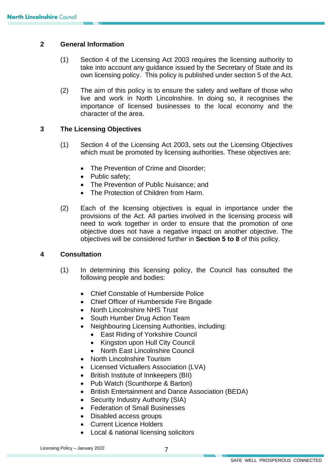#### **2 General Information**

- take into account any guidance issued by the Secretary of State and its (1) Section 4 of the Licensing Act 2003 requires the licensing authority to own licensing policy. This policy is published under section 5 of the Act.
- live and work in North Lincolnshire. In doing so, it recognises the (2) The aim of this policy is to ensure the safety and welfare of those who importance of licensed businesses to the local economy and the character of the area.

#### **3 The Licensing Objectives**

- (1) Section 4 of the Licensing Act 2003, sets out the Licensing Objectives which must be promoted by licensing authorities. These objectives are:
	- The Prevention of Crime and Disorder;
	- Public safety:
	- The Prevention of Public Nuisance; and
	- The Protection of Children from Harm.
- need to work together in order to ensure that the promotion of one (2) Each of the licensing objectives is equal in importance under the provisions of the Act. All parties involved in the licensing process will objective does not have a negative impact on another objective. The objectives will be considered further in **Section 5 to 8** of this policy.

#### **4 Consultation**

- (1) In determining this licensing policy, the Council has consulted the following people and bodies:
	- Chief Constable of Humberside Police
	- Chief Officer of Humberside Fire Brigade
	- North Lincolnshire NHS Trust
	- South Humber Drug Action Team
	- • Neighbouring Licensing Authorities, including:
		- **East Riding of Yorkshire Council**
		- Kingston upon Hull City Council
		- North East Lincolnshire Council
	- North Lincolnshire Tourism
	- Licensed Victuallers Association (LVA)
	- British Institute of Innkeepers (BII)
	- Pub Watch (Scunthorpe & Barton)
	- British Entertainment and Dance Association (BEDA)
	- Security Industry Authority (SIA)
	- Federation of Small Businesses
	- Disabled access groups
	- Current Licence Holders
	- Local & national licensing solicitors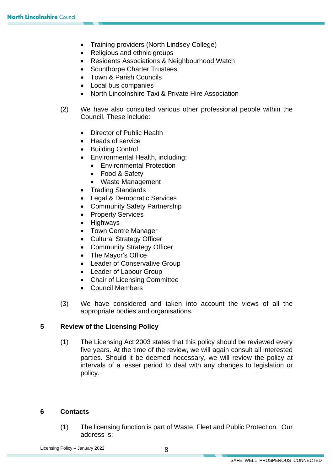- Training providers (North Lindsey College)
- Religious and ethnic groups
- Residents Associations & Neighbourhood Watch
- Scunthorpe Charter Trustees
- Town & Parish Councils
- Local bus companies
- North Lincolnshire Taxi & Private Hire Association
- (2) We have also consulted various other professional people within the Council. These include:
	- Director of Public Health
	- Heads of service
	- Building Control
	- Environmental Health, including:
		- Environmental Protection
		- Food & Safety
		- Waste Management
	- Trading Standards
	- Legal & Democratic Services
	- Community Safety Partnership
	- Property Services
	- Highways
	- Town Centre Manager
	- Cultural Strategy Officer
	- Community Strategy Officer
	- The Mayor's Office
	- Leader of Conservative Group
	- Leader of Labour Group
	- Chair of Licensing Committee
	- Council Members
- (3) We have considered and taken into account the views of all the appropriate bodies and organisations.

#### **5 Review of the Licensing Policy**

 parties. Should it be deemed necessary, we will review the policy at (1) The Licensing Act 2003 states that this policy should be reviewed every five years. At the time of the review, we will again consult all interested intervals of a lesser period to deal with any changes to legislation or policy.

#### **6 Contacts**

(1) The licensing function is part of Waste, Fleet and Public Protection. Our address is: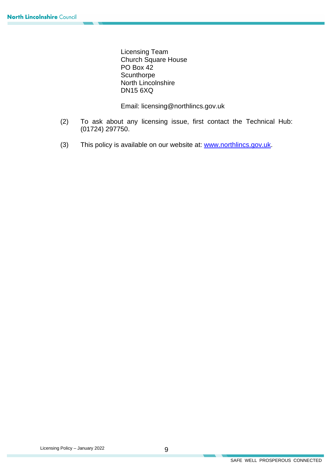Licensing Team Church Square House PO Box 42 **Scunthorpe** North Lincolnshire DN15 6XQ

Email: licensing@northlincs.gov.uk

- (2) To ask about any licensing issue, first contact the Technical Hub: (01724) 297750.
- (3) This policy is available on our website at: [www.northlincs.gov.uk.](http://www.northlincs.gov.uk/)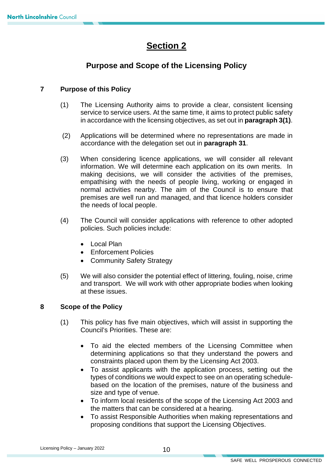## **Section 2**

## **Purpose and Scope of the Licensing Policy**

#### **7 Purpose of this Policy**

- in accordance with the licensing objectives, as set out in **paragraph 3(1)**. (1) The Licensing Authority aims to provide a clear, consistent licensing service to service users. At the same time, it aims to protect public safety
- $(2)$ (2) Applications will be determined where no representations are made in accordance with the delegation set out in **paragraph 31**.
- normal activities nearby. The aim of the Council is to ensure that the needs of local people. (3) When considering licence applications, we will consider all relevant information. We will determine each application on its own merits. In making decisions, we will consider the activities of the premises, empathising with the needs of people living, working or engaged in premises are well run and managed, and that licence holders consider
- (4) The Council will consider applications with reference to other adopted policies. Such policies include:
	- Local Plan
	- Enforcement Policies
	- Community Safety Strategy
- (5) We will also consider the potential effect of littering, fouling, noise, crime and transport. We will work with other appropriate bodies when looking at these issues.

#### **8 Scope of the Policy**

- (1) This policy has five main objectives, which will assist in supporting the Council's Priorities. These are:
	- To aid the elected members of the Licensing Committee when determining applications so that they understand the powers and constraints placed upon them by the Licensing Act 2003.
	- types of conditions we would expect to see on an operating schedule-• To assist applicants with the application process, setting out the based on the location of the premises, nature of the business and size and type of venue.
	- To inform local residents of the scope of the Licensing Act 2003 and the matters that can be considered at a hearing.
	- • To assist Responsible Authorities when making representations and proposing conditions that support the Licensing Objectives.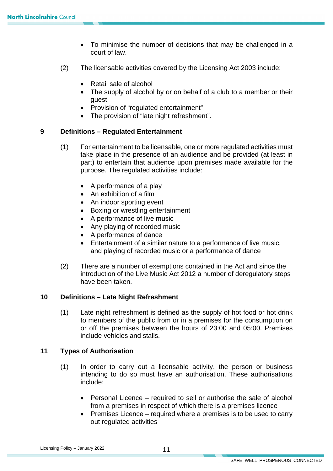- To minimise the number of decisions that may be challenged in a court of law.
- (2) The licensable activities covered by the Licensing Act 2003 include:
	- Retail sale of alcohol
	- • The supply of alcohol by or on behalf of a club to a member or their guest
	- Provision of "regulated entertainment"
	- The provision of "late night refreshment".

#### **9 Definitions – Regulated Entertainment**

- (1) For entertainment to be licensable, one or more regulated activities must take place in the presence of an audience and be provided (at least in part) to entertain that audience upon premises made available for the purpose. The regulated activities include:
	- A performance of a play
	- An exhibition of a film
	- An indoor sporting event
	- Boxing or wrestling entertainment
	- A performance of live music
	- Any playing of recorded music
	- A performance of dance
	- • Entertainment of a similar nature to a performance of live music, and playing of recorded music or a performance of dance
- (2) There are a number of exemptions contained in the Act and since the introduction of the Live Music Act 2012 a number of deregulatory steps have been taken.

#### **10 Definitions – Late Night Refreshment**

 (1) Late night refreshment is defined as the supply of hot food or hot drink to members of the public from or in a premises for the consumption on or off the premises between the hours of 23:00 and 05:00. Premises include vehicles and stalls.

#### **11 Types of Authorisation**

- intending to do so must have an authorisation. These authorisations (1) In order to carry out a licensable activity, the person or business include:
	- • Personal Licence required to sell or authorise the sale of alcohol from a premises in respect of which there is a premises licence
	- Premises Licence required where a premises is to be used to carry out regulated activities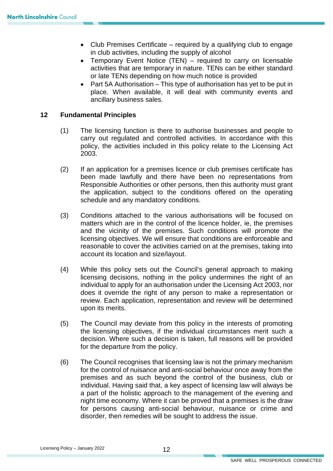- Club Premises Certificate required by a qualifying club to engage in club activities, including the supply of alcohol
- • Temporary Event Notice (TEN) required to carry on licensable activities that are temporary in nature. TENs can be either standard or late TENs depending on how much notice is provided
- Part 5A Authorisation This type of authorisation has yet to be put in place. When available, it will deal with community events and ancillary business sales.

#### **12 Fundamental Principles**

- (1) The licensing function is there to authorise businesses and people to carry out regulated and controlled activities. In accordance with this policy, the activities included in this policy relate to the Licensing Act 2003.
- Responsible Authorities or other persons, then this authority must grant (2) If an application for a premises licence or club premises certificate has been made lawfully and there have been no representations from the application, subject to the conditions offered on the operating schedule and any mandatory conditions.
- and the vicinity of the premises. Such conditions will promote the (3) Conditions attached to the various authorisations will be focused on matters which are in the control of the licence holder, ie, the premises licensing objectives. We will ensure that conditions are enforceable and reasonable to cover the activities carried on at the premises, taking into account its location and size/layout.
- (4) While this policy sets out the Council's general approach to making licensing decisions, nothing in the policy undermines the right of an individual to apply for an authorisation under the Licensing Act 2003, nor does it override the right of any person to make a representation or review. Each application, representation and review will be determined upon its merits.
- (5) The Council may deviate from this policy in the interests of promoting the licensing objectives, if the individual circumstances merit such a decision. Where such a decision is taken, full reasons will be provided for the departure from the policy.
- for the control of nuisance and anti-social behaviour once away from the for persons causing anti-social behaviour, nuisance or crime and (6) The Council recognises that licensing law is not the primary mechanism premises and as such beyond the control of the business, club or individual. Having said that, a key aspect of licensing law will always be a part of the holistic approach to the management of the evening and night time economy. Where it can be proved that a premises is the draw disorder, then remedies will be sought to address the issue.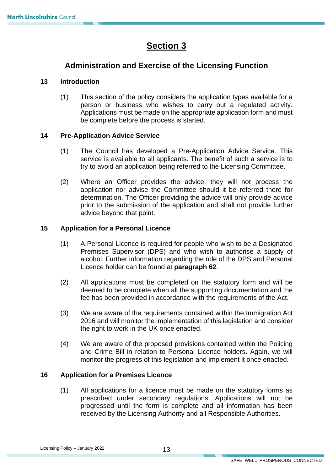## **Section 3**

## **Administration and Exercise of the Licensing Function**

#### **13 Introduction**

 (1) This section of the policy considers the application types available for a Applications must be made on the appropriate application form and must person or business who wishes to carry out a regulated activity. be complete before the process is started.

#### **14 Pre-Application Advice Service**

- (1) The Council has developed a Pre-Application Advice Service. This service is available to all applicants. The benefit of such a service is to try to avoid an application being referred to the Licensing Committee.
- (2) Where an Officer provides the advice, they will not process the application nor advise the Committee should it be referred there for determination. The Officer providing the advice will only provide advice prior to the submission of the application and shall not provide further advice beyond that point.

#### **15 Application for a Personal Licence**

- Licence holder can be found at **paragraph 62**. (1) A Personal Licence is required for people who wish to be a Designated Premises Supervisor (DPS) and who wish to authorise a supply of alcohol. Further information regarding the role of the DPS and Personal
- (2) All applications must be completed on the statutory form and will be deemed to be complete when all the supporting documentation and the fee has been provided in accordance with the requirements of the Act.
- (3) We are aware of the requirements contained within the Immigration Act 2016 and will monitor the implementation of this legislation and consider the right to work in the UK once enacted.
- (4) We are aware of the proposed provisions contained within the Policing and Crime Bill in relation to Personal Licence holders. Again, we will monitor the progress of this legislation and implement it once enacted.

#### **16 Application for a Premises Licence**

(1) All applications for a licence must be made on the statutory forms as prescribed under secondary regulations. Applications will not be progressed until the form is complete and all information has been received by the Licensing Authority and all Responsible Authorities.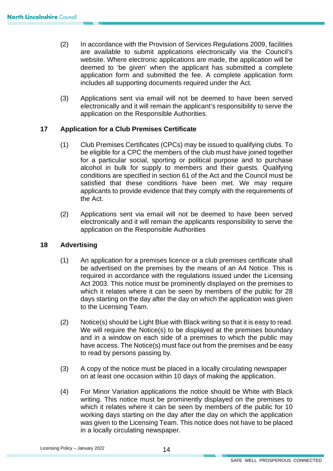- application form and submitted the fee. A complete application form (2) In accordance with the Provision of Services Regulations 2009, facilities are available to submit applications electronically via the Council's website. Where electronic applications are made, the application will be deemed to 'be given' when the applicant has submitted a complete includes all supporting documents required under the Act.
- electronically and it will remain the applicant's responsibility to serve the (3) Applications sent via email will not be deemed to have been served application on the Responsible Authorities.

#### **17 Application for a Club Premises Certificate**

- conditions are specified in section 61 of the Act and the Council must be (1) Club Premises Certificates (CPCs) may be issued to qualifying clubs. To be eligible for a CPC the members of the club must have joined together for a particular social, sporting or political purpose and to purchase alcohol in bulk for supply to members and their guests. Qualifying satisfied that these conditions have been met. We may require applicants to provide evidence that they comply with the requirements of the Act.
- (2) Applications sent via email will not be deemed to have been served electronically and it will remain the applicants responsibility to serve the application on the Responsible Authorities

#### **18 Advertising**

- be advertised on the premises by the means of an A4 Notice. This is days starting on the day after the day on which the application was given (1) An application for a premises licence or a club premises certificate shall required in accordance with the regulations issued under the Licensing Act 2003. This notice must be prominently displayed on the premises to which it relates where it can be seen by members of the public for 28 to the Licensing Team.
- We will require the Notice(s) to be displayed at the premises boundary and in a window on each side of a premises to which the public may (2) Notice(s) should be Light Blue with Black writing so that it is easy to read. have access. The Notice(s) must face out from the premises and be easy to read by persons passing by.
- (3) A copy of the notice must be placed in a locally circulating newspaper on at least one occasion within 10 days of making the application.
- working days starting on the day after the day on which the application (4) For Minor Variation applications the notice should be White with Black writing. This notice must be prominently displayed on the premises to which it relates where it can be seen by members of the public for 10 was given to the Licensing Team. This notice does not have to be placed in a locally circulating newspaper.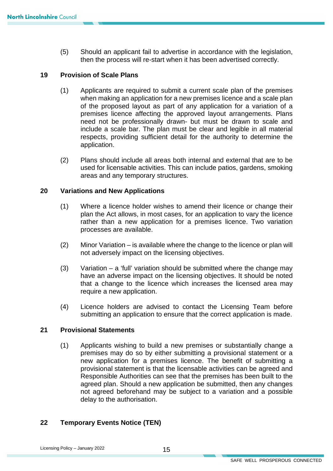(5) Should an applicant fail to advertise in accordance with the legislation, then the process will re-start when it has been advertised correctly.

#### **19 Provision of Scale Plans**

- (1) Applicants are required to submit a current scale plan of the premises of the proposed layout as part of any application for a variation of a when making an application for a new premises licence and a scale plan premises licence affecting the approved layout arrangements. Plans need not be professionally drawn- but must be drawn to scale and include a scale bar. The plan must be clear and legible in all material respects, providing sufficient detail for the authority to determine the application.
- (2) Plans should include all areas both internal and external that are to be used for licensable activities. This can include patios, gardens, smoking areas and any temporary structures.

#### **20 Variations and New Applications**

- (1) Where a licence holder wishes to amend their licence or change their plan the Act allows, in most cases, for an application to vary the licence rather than a new application for a premises licence. Two variation processes are available.
- (2) Minor Variation is available where the change to the licence or plan will not adversely impact on the licensing objectives.
- (3) Variation a 'full' variation should be submitted where the change may have an adverse impact on the licensing objectives. It should be noted that a change to the licence which increases the licensed area may require a new application.
- (4) Licence holders are advised to contact the Licensing Team before submitting an application to ensure that the correct application is made.

#### **21 Provisional Statements**

 (1) Applicants wishing to build a new premises or substantially change a Responsible Authorities can see that the premises has been built to the agreed plan. Should a new application be submitted, then any changes premises may do so by either submitting a provisional statement or a new application for a premises licence. The benefit of submitting a provisional statement is that the licensable activities can be agreed and not agreed beforehand may be subject to a variation and a possible delay to the authorisation.

#### **22 Temporary Events Notice (TEN)**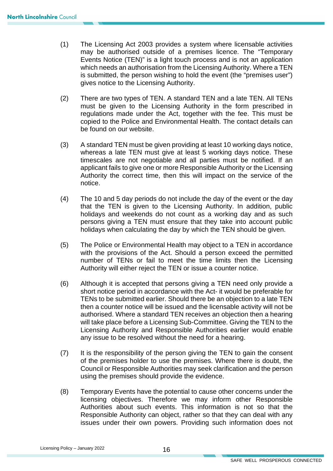- which needs an authorisation from the Licensing Authority. Where a TEN is submitted, the person wishing to hold the event (the "premises user") (1) The Licensing Act 2003 provides a system where licensable activities may be authorised outside of a premises licence. The "Temporary Events Notice (TEN)" is a light touch process and is not an application gives notice to the Licensing Authority.
- (2) There are two types of TEN. A standard TEN and a late TEN. All TENs must be given to the Licensing Authority in the form prescribed in regulations made under the Act, together with the fee. This must be copied to the Police and Environmental Health. The contact details can be found on our website.
- (3) A standard TEN must be given providing at least 10 working days notice, whereas a late TEN must give at least 5 working days notice. These timescales are not negotiable and all parties must be notified. If an applicant fails to give one or more Responsible Authority or the Licensing Authority the correct time, then this will impact on the service of the notice.
- (4) The 10 and 5 day periods do not include the day of the event or the day that the TEN is given to the Licensing Authority. In addition, public holidays and weekends do not count as a working day and as such persons giving a TEN must ensure that they take into account public holidays when calculating the day by which the TEN should be given.
- with the provisions of the Act. Should a person exceed the permitted (5) The Police or Environmental Health may object to a TEN in accordance number of TENs or fail to meet the time limits then the Licensing Authority will either reject the TEN or issue a counter notice.
- (6) Although it is accepted that persons giving a TEN need only provide a short notice period in accordance with the Act- it would be preferable for TENs to be submitted earlier. Should there be an objection to a late TEN then a counter notice will be issued and the licensable activity will not be authorised. Where a standard TEN receives an objection then a hearing will take place before a Licensing Sub-Committee. Giving the TEN to the Licensing Authority and Responsible Authorities earlier would enable any issue to be resolved without the need for a hearing.
- of the premises holder to use the premises. Where there is doubt, the (7) It is the responsibility of the person giving the TEN to gain the consent Council or Responsible Authorities may seek clarification and the person using the premises should provide the evidence.
- Responsible Authority can object, rather so that they can deal with any issues under their own powers. Providing such information does not (8) Temporary Events have the potential to cause other concerns under the licensing objectives. Therefore we may inform other Responsible Authorities about such events. This information is not so that the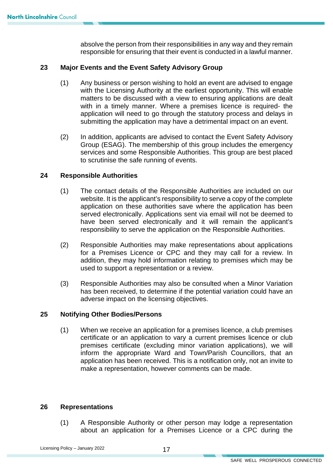absolve the person from their responsibilities in any way and they remain responsible for ensuring that their event is conducted in a lawful manner.

#### **23 Major Events and the Event Safety Advisory Group**

- with in a timely manner. Where a premises licence is required- the (1) Any business or person wishing to hold an event are advised to engage with the Licensing Authority at the earliest opportunity. This will enable matters to be discussed with a view to ensuring applications are dealt application will need to go through the statutory process and delays in submitting the application may have a detrimental impact on an event.
- services and some Responsible Authorities. This group are best placed (2) In addition, applicants are advised to contact the Event Safety Advisory Group (ESAG). The membership of this group includes the emergency to scrutinise the safe running of events.

#### **24 Responsible Authorities**

- application on these authorities save where the application has been (1) The contact details of the Responsible Authorities are included on our website. It is the applicant's responsibility to serve a copy of the complete served electronically. Applications sent via email will not be deemed to have been served electronically and it will remain the applicant's responsibility to serve the application on the Responsible Authorities.
- addition, they may hold information relating to premises which may be (2) Responsible Authorities may make representations about applications for a Premises Licence or CPC and they may call for a review. In used to support a representation or a review.
- (3) Responsible Authorities may also be consulted when a Minor Variation has been received, to determine if the potential variation could have an adverse impact on the licensing objectives.

#### **25 Notifying Other Bodies/Persons**

(1) When we receive an application for a premises licence, a club premises certificate or an application to vary a current premises licence or club premises certificate (excluding minor variation applications), we will inform the appropriate Ward and Town/Parish Councillors, that an application has been received. This is a notification only, not an invite to make a representation, however comments can be made.

#### **26 Representations**

(1) A Responsible Authority or other person may lodge a representation about an application for a Premises Licence or a CPC during the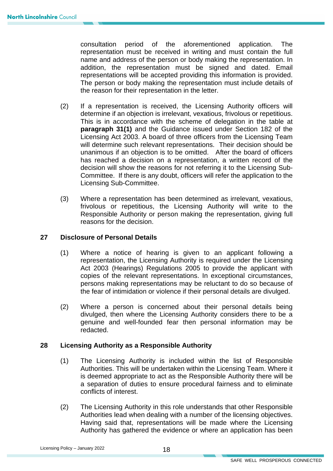consultation period of the aforementioned application. The representation must be received in writing and must contain the full name and address of the person or body making the representation. In addition, the representation must be signed and dated. Email representations will be accepted providing this information is provided. The person or body making the representation must include details of the reason for their representation in the letter.

- (2) If a representation is received, the Licensing Authority officers will Licensing Act 2003. A board of three officers from the Licensing Team unanimous if an objection is to be omitted. After the board of officers Committee. If there is any doubt, officers will refer the application to the determine if an objection is irrelevant, vexatious, frivolous or repetitious. This is in accordance with the scheme of delegation in the table at **paragraph 31(1)** and the Guidance issued under Section 182 of the will determine such relevant representations. Their decision should be has reached a decision on a representation, a written record of the decision will show the reasons for not referring it to the Licensing Sub-Licensing Sub-Committee.
- Responsible Authority or person making the representation, giving full (3) Where a representation has been determined as irrelevant, vexatious, frivolous or repetitious, the Licensing Authority will write to the reasons for the decision.

#### **27 Disclosure of Personal Details**

- (1) Where a notice of hearing is given to an applicant following a the fear of intimidation or violence if their personal details are divulged. representation, the Licensing Authority is required under the Licensing Act 2003 (Hearings) Regulations 2005 to provide the applicant with copies of the relevant representations. In exceptional circumstances, persons making representations may be reluctant to do so because of
- (2) Where a person is concerned about their personal details being divulged, then where the Licensing Authority considers there to be a genuine and well-founded fear then personal information may be redacted.

#### **28 Licensing Authority as a Responsible Authority**

- (1) The Licensing Authority is included within the list of Responsible Authorities. This will be undertaken within the Licensing Team. Where it is deemed appropriate to act as the Responsible Authority there will be a separation of duties to ensure procedural fairness and to eliminate conflicts of interest.
- (2) The Licensing Authority in this role understands that other Responsible Authorities lead when dealing with a number of the licensing objectives. Having said that, representations will be made where the Licensing Authority has gathered the evidence or where an application has been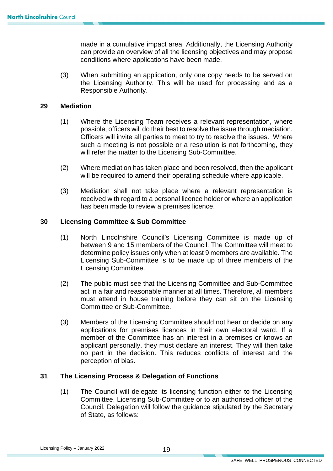can provide an overview of all the licensing objectives and may propose made in a cumulative impact area. Additionally, the Licensing Authority conditions where applications have been made.

(3) When submitting an application, only one copy needs to be served on the Licensing Authority. This will be used for processing and as a Responsible Authority.

#### **29 Mediation**

- Officers will invite all parties to meet to try to resolve the issues. Where such a meeting is not possible or a resolution is not forthcoming, they (1) Where the Licensing Team receives a relevant representation, where possible, officers will do their best to resolve the issue through mediation. will refer the matter to the Licensing Sub-Committee.
- (2) Where mediation has taken place and been resolved, then the applicant will be required to amend their operating schedule where applicable.
- (3) Mediation shall not take place where a relevant representation is received with regard to a personal licence holder or where an application has been made to review a premises licence.

#### **30 Licensing Committee & Sub Committee**

- (1) North Lincolnshire Council's Licensing Committee is made up of between 9 and 15 members of the Council. The Committee will meet to determine policy issues only when at least 9 members are available. The Licensing Sub-Committee is to be made up of three members of the Licensing Committee.
- (2) The public must see that the Licensing Committee and Sub-Committee act in a fair and reasonable manner at all times. Therefore, all members must attend in house training before they can sit on the Licensing Committee or Sub-Committee.
- (3) Members of the Licensing Committee should not hear or decide on any no part in the decision. This reduces conflicts of interest and the applications for premises licences in their own electoral ward. If a member of the Committee has an interest in a premises or knows an applicant personally, they must declare an interest. They will then take perception of bias.

#### **31 The Licensing Process & Delegation of Functions**

(1) The Council will delegate its licensing function either to the Licensing Committee, Licensing Sub-Committee or to an authorised officer of the Council. Delegation will follow the guidance stipulated by the Secretary of State, as follows: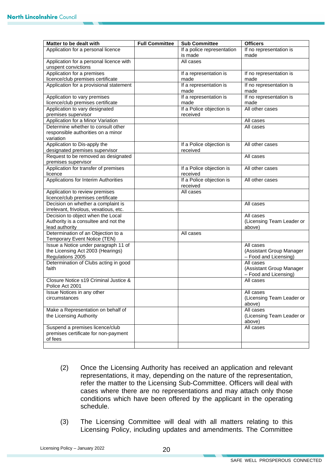| Matter to be dealt with                                               | <b>Full Committee</b> | <b>Sub Committee</b>                 | <b>Officers</b>                     |
|-----------------------------------------------------------------------|-----------------------|--------------------------------------|-------------------------------------|
| Application for a personal licence                                    |                       | If a police representation           | If no representation is             |
|                                                                       |                       | is made                              | made                                |
| Application for a personal licence with                               |                       | All cases                            |                                     |
| unspent convictions                                                   |                       |                                      |                                     |
| Application for a premises                                            |                       | If a representation is               | If no representation is             |
| licence/club premises certificate                                     |                       | made                                 | made                                |
| Application for a provisional statement                               |                       | If a representation is               | If no representation is             |
|                                                                       |                       | made                                 | made                                |
| Application to vary premises                                          |                       | If a representation is               | If no representation is             |
| licence/club premises certificate                                     |                       | made                                 | made                                |
| Application to vary designated                                        |                       | If a Police objection is             | All other cases                     |
| premises supervisor                                                   |                       | received                             |                                     |
| Application for a Minor Variation                                     |                       |                                      | All cases                           |
| Determine whether to consult other                                    |                       |                                      | All cases                           |
| responsible authorities on a minor<br>variation                       |                       |                                      |                                     |
|                                                                       |                       |                                      |                                     |
| Application to Dis-apply the                                          |                       | If a Police objection is<br>received | All other cases                     |
| designated premises supervisor<br>Request to be removed as designated |                       |                                      | All cases                           |
| premises supervisor                                                   |                       |                                      |                                     |
| Application for transfer of premises                                  |                       | If a Police objection is             | All other cases                     |
| licence                                                               |                       | received                             |                                     |
| Applications for Interim Authorities                                  |                       | If a Police objection is             | All other cases                     |
|                                                                       |                       | received                             |                                     |
| Application to review premises                                        |                       | All cases                            |                                     |
| licence/club premises certificate                                     |                       |                                      |                                     |
| Decision on whether a complaint is                                    |                       |                                      | All cases                           |
| irrelevant, frivolous, vexatious, etc.                                |                       |                                      |                                     |
| Decision to object when the Local                                     |                       |                                      | All cases                           |
| Authority is a consultee and not the                                  |                       |                                      | (Licensing Team Leader or           |
| lead authority                                                        |                       |                                      | above)                              |
| Determination of an Objection to a                                    |                       | All cases                            |                                     |
| Temporary Event Notice (TEN)                                          |                       |                                      |                                     |
| Issue a Notice under paragraph 11 of                                  |                       |                                      | All cases                           |
| the Licensing Act 2003 (Hearings)                                     |                       |                                      | (Assistant Group Manager            |
| Regulations 2005                                                      |                       |                                      | - Food and Licensing)               |
| Determination of Clubs acting in good                                 |                       |                                      | All cases                           |
| faith                                                                 |                       |                                      | (Assistant Group Manager            |
|                                                                       |                       |                                      | - Food and Licensing)               |
| Closure Notice s19 Criminal Justice &                                 |                       |                                      | All cases                           |
| Police Act 2001                                                       |                       |                                      |                                     |
| Issue Notices in any other                                            |                       |                                      | All cases                           |
| circumstances                                                         |                       |                                      | (Licensing Team Leader or<br>above) |
| Make a Representation on behalf of                                    |                       |                                      | All cases                           |
| the Licensing Authority                                               |                       |                                      | (Licensing Team Leader or           |
|                                                                       |                       |                                      | above)                              |
| Suspend a premises licence/club                                       |                       |                                      | All cases                           |
| premises certificate for non-payment                                  |                       |                                      |                                     |
| of fees                                                               |                       |                                      |                                     |
|                                                                       |                       |                                      |                                     |

- refer the matter to the Licensing Sub-Committee. Officers will deal with conditions which have been offered by the applicant in the operating (2) Once the Licensing Authority has received an application and relevant representations, it may, depending on the nature of the representation, cases where there are no representations and may attach only those schedule.
- (3) The Licensing Committee will deal with all matters relating to this Licensing Policy, including updates and amendments. The Committee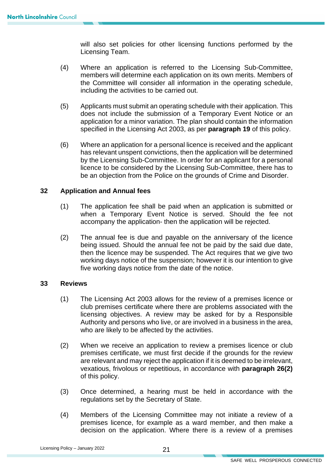will also set policies for other licensing functions performed by the Licensing Team.

- (4) Where an application is referred to the Licensing Sub-Committee, members will determine each application on its own merits. Members of the Committee will consider all information in the operating schedule, including the activities to be carried out.
- does not include the submission of a Temporary Event Notice or an specified in the Licensing Act 2003, as per **paragraph 19** of this policy. (5) Applicants must submit an operating schedule with their application. This application for a minor variation. The plan should contain the information
- licence to be considered by the Licensing Sub-Committee, there has to (6) Where an application for a personal licence is received and the applicant has relevant unspent convictions, then the application will be determined by the Licensing Sub-Committee. In order for an applicant for a personal be an objection from the Police on the grounds of Crime and Disorder.

#### **32 Application and Annual fees**

- when a Temporary Event Notice is served. Should the fee not (1) The application fee shall be paid when an application is submitted or accompany the application- then the application will be rejected.
- five working days notice from the date of the notice. (2) The annual fee is due and payable on the anniversary of the licence being issued. Should the annual fee not be paid by the said due date, then the licence may be suspended. The Act requires that we give two working days notice of the suspension; however it is our intention to give

#### **33 Reviews**

- Authority and persons who live, or are involved in a business in the area, who are likely to be affected by the activities. (1) The Licensing Act 2003 allows for the review of a premises licence or club premises certificate where there are problems associated with the licensing objectives. A review may be asked for by a Responsible
- premises certificate, we must first decide if the grounds for the review of this policy. (2) When we receive an application to review a premises licence or club are relevant and may reject the application if it is deemed to be irrelevant, vexatious, frivolous or repetitious, in accordance with **paragraph 26(2)**
- regulations set by the Secretary of State. (3) Once determined, a hearing must be held in accordance with the
- (4) Members of the Licensing Committee may not initiate a review of a premises licence, for example as a ward member, and then make a decision on the application. Where there is a review of a premises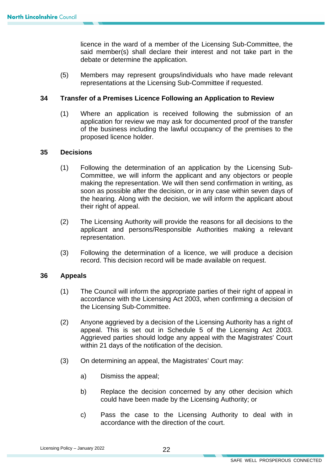licence in the ward of a member of the Licensing Sub-Committee, the said member(s) shall declare their interest and not take part in the debate or determine the application.

(5) Members may represent groups/individuals who have made relevant representations at the Licensing Sub-Committee if requested.

#### **34 Transfer of a Premises Licence Following an Application to Review**

 $(1)$  application for review we may ask for documented proof of the transfer of the business including the lawful occupancy of the premises to the Where an application is received following the submission of an proposed licence holder.

#### **35 Decisions**

- soon as possible after the decision, or in any case within seven days of (1) Following the determination of an application by the Licensing Sub-Committee, we will inform the applicant and any objectors or people making the representation. We will then send confirmation in writing, as the hearing. Along with the decision, we will inform the applicant about their right of appeal.
- (2) The Licensing Authority will provide the reasons for all decisions to the applicant and persons/Responsible Authorities making a relevant representation.
- (3) Following the determination of a licence, we will produce a decision record. This decision record will be made available on request.

#### **36 Appeals**

- (1) The Council will inform the appropriate parties of their right of appeal in accordance with the Licensing Act 2003, when confirming a decision of the Licensing Sub-Committee.
- Aggrieved parties should lodge any appeal with the Magistrates' Court (2) Anyone aggrieved by a decision of the Licensing Authority has a right of appeal. This is set out in Schedule 5 of the Licensing Act 2003. within 21 days of the notification of the decision.
- (3) On determining an appeal, the Magistrates' Court may:
	- a) Dismiss the appeal;
	- could have been made by the Licensing Authority; or b) Replace the decision concerned by any other decision which
	- c) Pass the case to the Licensing Authority to deal with in accordance with the direction of the court.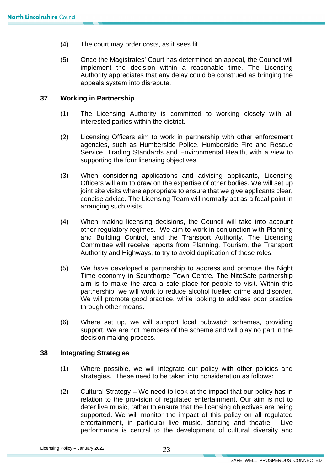- (4) The court may order costs, as it sees fit.
- (5) Once the Magistrates' Court has determined an appeal, the Council will implement the decision within a reasonable time. The Licensing Authority appreciates that any delay could be construed as bringing the appeals system into disrepute.

#### **37 Working in Partnership**

- (1) The Licensing Authority is committed to working closely with all interested parties within the district.
- (2) Licensing Officers aim to work in partnership with other enforcement agencies, such as Humberside Police, Humberside Fire and Rescue Service, Trading Standards and Environmental Health, with a view to supporting the four licensing objectives.
- (3) When considering applications and advising applicants, Licensing Officers will aim to draw on the expertise of other bodies. We will set up joint site visits where appropriate to ensure that we give applicants clear, concise advice. The Licensing Team will normally act as a focal point in arranging such visits.
- other regulatory regimes. We aim to work in conjunction with Planning (4) When making licensing decisions, the Council will take into account and Building Control, and the Transport Authority. The Licensing Committee will receive reports from Planning, Tourism, the Transport Authority and Highways, to try to avoid duplication of these roles.
- (5) We have developed a partnership to address and promote the Night Time economy in Scunthorpe Town Centre. The NiteSafe partnership aim is to make the area a safe place for people to visit. Within this partnership, we will work to reduce alcohol fuelled crime and disorder. We will promote good practice, while looking to address poor practice through other means.
- support. We are not members of the scheme and will play no part in the (6) Where set up, we will support local pubwatch schemes, providing decision making process.

#### **38 Integrating Strategies**

- (1) Where possible, we will integrate our policy with other policies and strategies. These need to be taken into consideration as follows:
- $(2)$  Cultural Strategy We need to look at the impact that our policy has in relation to the provision of regulated entertainment. Our aim is not to entertainment, in particular live music, dancing and theatre. Live performance is central to the development of cultural diversity and deter live music, rather to ensure that the licensing objectives are being supported. We will monitor the impact of this policy on all regulated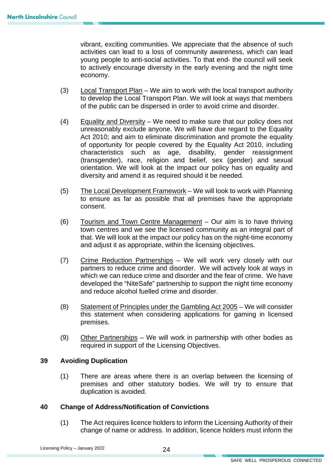vibrant, exciting communities. We appreciate that the absence of such activities can lead to a loss of community awareness, which can lead young people to anti-social activities. To that end- the council will seek to actively encourage diversity in the early evening and the night time economy.

- $(3)$  Local Transport Plan We aim to work with the local transport authority to develop the Local Transport Plan. We will look at ways that members of the public can be dispersed in order to avoid crime and disorder.
- $(4)$  Equality and Diversity We need to make sure that our policy does not characteristics such as age, disability, gender reassignment orientation. We will look at the impact our policy has on equality and unreasonably exclude anyone. We will have due regard to the Equality Act 2010; and aim to eliminate discrimination and promote the equality of opportunity for people covered by the Equality Act 2010, including (transgender), race, religion and belief, sex (gender) and sexual diversity and amend it as required should it be needed.
- (5) The Local Development Framework We will look to work with Planning to ensure as far as possible that all premises have the appropriate consent.
- town centres and we see the licensed community as an integral part of that. We will look at the impact our policy has on the night-time economy (6) Tourism and Town Centre Management – Our aim is to have thriving and adjust it as appropriate, within the licensing objectives.
- (7) Crime Reduction Partnerships We will work very closely with our partners to reduce crime and disorder. We will actively look at ways in which we can reduce crime and disorder and the fear of crime. We have developed the "NiteSafe" partnership to support the night time economy and reduce alcohol fuelled crime and disorder.
- (8) Statement of Principles under the Gambling Act 2005 We will consider this statement when considering applications for gaming in licensed premises.
- (9) Other Partnerships We will work in partnership with other bodies as required in support of the Licensing Objectives.

#### **39 Avoiding Duplication**

 premises and other statutory bodies. We will try to ensure that (1) There are areas where there is an overlap between the licensing of duplication is avoided.

#### **40 Change of Address/Notification of Convictions**

 change of name or address. In addition, licence holders must inform the (1) The Act requires licence holders to inform the Licensing Authority of their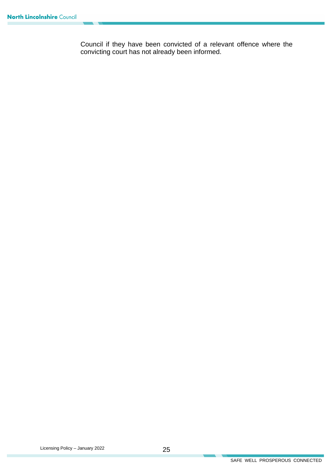Council if they have been convicted of a relevant offence where the convicting court has not already been informed.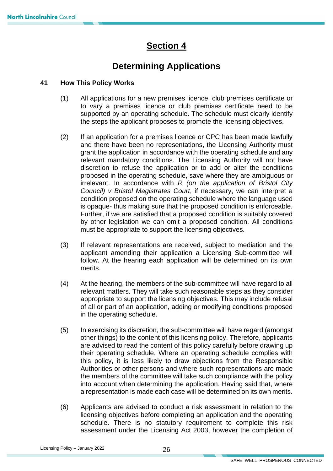## **Section 4**

## **Determining Applications**

#### **41 How This Policy Works**

- (1) All applications for a new premises licence, club premises certificate or to vary a premises licence or club premises certificate need to be supported by an operating schedule. The schedule must clearly identify the steps the applicant proposes to promote the licensing objectives.
- (2) If an application for a premises licence or CPC has been made lawfully and there have been no representations, the Licensing Authority must grant the application in accordance with the operating schedule and any relevant mandatory conditions. The Licensing Authority will not have discretion to refuse the application or to add or alter the conditions proposed in the operating schedule, save where they are ambiguous or irrelevant. In accordance with *R (on the application of Bristol City Council) v Bristol Magistrates Court*, if necessary, we can interpret a condition proposed on the operating schedule where the language used is opaque- thus making sure that the proposed condition is enforceable. Further, if we are satisfied that a proposed condition is suitably covered by other legislation we can omit a proposed condition. All conditions must be appropriate to support the licensing objectives.
- (3) If relevant representations are received, subject to mediation and the applicant amending their application a Licensing Sub-committee will follow. At the hearing each application will be determined on its own merits.
- (4) At the hearing, the members of the sub-committee will have regard to all relevant matters. They will take such reasonable steps as they consider appropriate to support the licensing objectives. This may include refusal of all or part of an application, adding or modifying conditions proposed in the operating schedule.
- (5) In exercising its discretion, the sub-committee will have regard (amongst other things) to the content of this licensing policy. Therefore, applicants are advised to read the content of this policy carefully before drawing up their operating schedule. Where an operating schedule complies with this policy, it is less likely to draw objections from the Responsible Authorities or other persons and where such representations are made the members of the committee will take such compliance with the policy into account when determining the application. Having said that, where a representation is made each case will be determined on its own merits.
- (6) Applicants are advised to conduct a risk assessment in relation to the licensing objectives before completing an application and the operating schedule. There is no statutory requirement to complete this risk assessment under the Licensing Act 2003, however the completion of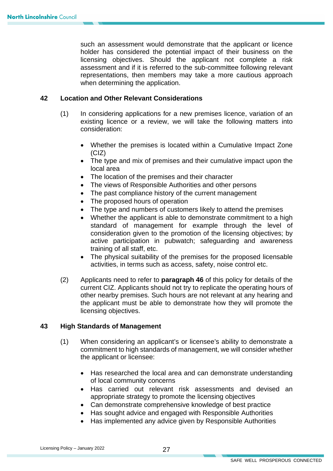holder has considered the potential impact of their business on the such an assessment would demonstrate that the applicant or licence licensing objectives. Should the applicant not complete a risk assessment and if it is referred to the sub-committee following relevant representations, then members may take a more cautious approach when determining the application.

#### **42 Location and Other Relevant Considerations**

- (1) In considering applications for a new premises licence, variation of an existing licence or a review, we will take the following matters into consideration:
	- Whether the premises is located within a Cumulative Impact Zone (CIZ)
	- The type and mix of premises and their cumulative impact upon the local area
	- The location of the premises and their character
	- The views of Responsible Authorities and other persons
	- The past compliance history of the current management
	- The proposed hours of operation
	- The type and numbers of customers likely to attend the premises
	- • Whether the applicant is able to demonstrate commitment to a high standard of management for example through the level of consideration given to the promotion of the licensing objectives; by active participation in pubwatch; safeguarding and awareness training of all staff, etc.
	- The physical suitability of the premises for the proposed licensable activities, in terms such as access, safety, noise control etc.
- (2) Applicants need to refer to **paragraph 46** of this policy for details of the current CIZ. Applicants should not try to replicate the operating hours of other nearby premises. Such hours are not relevant at any hearing and the applicant must be able to demonstrate how they will promote the licensing objectives.

#### **43 High Standards of Management**

- (1) When considering an applicant's or licensee's ability to demonstrate a commitment to high standards of management, we will consider whether the applicant or licensee:
	- Has researched the local area and can demonstrate understanding of local community concerns
	- Has carried out relevant risk assessments and devised an appropriate strategy to promote the licensing objectives
	- Can demonstrate comprehensive knowledge of best practice
	- Has sought advice and engaged with Responsible Authorities
	- Has implemented any advice given by Responsible Authorities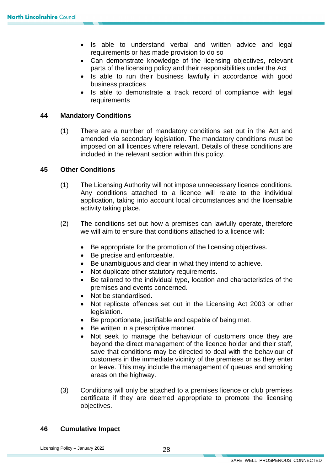- requirements or has made provision to do so • Is able to understand verbal and written advice and legal
- Can demonstrate knowledge of the licensing objectives, relevant parts of the licensing policy and their responsibilities under the Act
- Is able to run their business lawfully in accordance with good business practices
- Is able to demonstrate a track record of compliance with legal requirements

#### **44 Mandatory Conditions**

 amended via secondary legislation. The mandatory conditions must be included in the relevant section within this policy. (1) There are a number of mandatory conditions set out in the Act and imposed on all licences where relevant. Details of these conditions are

#### **45 Other Conditions**

- (1) The Licensing Authority will not impose unnecessary licence conditions. Any conditions attached to a licence will relate to the individual application, taking into account local circumstances and the licensable activity taking place.
- (2) The conditions set out how a premises can lawfully operate, therefore we will aim to ensure that conditions attached to a licence will:
	- Be appropriate for the promotion of the licensing objectives.
	- Be precise and enforceable.
	- Be unambiguous and clear in what they intend to achieve.
	- Not duplicate other statutory requirements.
	- Be tailored to the individual type, location and characteristics of the premises and events concerned.
	- Not be standardised.
	- Not replicate offences set out in the Licensing Act 2003 or other legislation.
	- Be proportionate, justifiable and capable of being met.
	- Be written in a prescriptive manner.
	- • Not seek to manage the behaviour of customers once they are beyond the direct management of the licence holder and their staff, save that conditions may be directed to deal with the behaviour of customers in the immediate vicinity of the premises or as they enter or leave. This may include the management of queues and smoking areas on the highway.
- (3) Conditions will only be attached to a premises licence or club premises certificate if they are deemed appropriate to promote the licensing objectives.

#### **46 Cumulative Impact**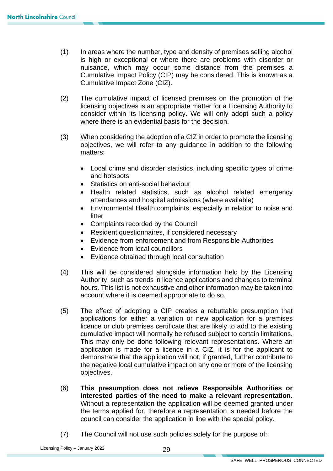- (1) In areas where the number, type and density of premises selling alcohol is high or exceptional or where there are problems with disorder or nuisance, which may occur some distance from the premises a Cumulative Impact Policy (CIP) may be considered. This is known as a Cumulative Impact Zone (CIZ).
- consider within its licensing policy. We will only adopt such a policy where there is an evidential basis for the decision. (2) The cumulative impact of licensed premises on the promotion of the licensing objectives is an appropriate matter for a Licensing Authority to
- (3) When considering the adoption of a CIZ in order to promote the licensing objectives, we will refer to any guidance in addition to the following matters:
	- • Local crime and disorder statistics, including specific types of crime and hotspots
	- Statistics on anti-social behaviour
	- Health related statistics, such as alcohol related emergency attendances and hospital admissions (where available)
	- Environmental Health complaints, especially in relation to noise and litter
	- Complaints recorded by the Council
	- Resident questionnaires, if considered necessary
	- Evidence from enforcement and from Responsible Authorities
	- Evidence from local councillors
	- Evidence obtained through local consultation
- (4) This will be considered alongside information held by the Licensing Authority, such as trends in licence applications and changes to terminal hours. This list is not exhaustive and other information may be taken into account where it is deemed appropriate to do so.
- applications for either a variation or new application for a premises (5) The effect of adopting a CIP creates a rebuttable presumption that licence or club premises certificate that are likely to add to the existing cumulative impact will normally be refused subject to certain limitations. This may only be done following relevant representations. Where an application is made for a licence in a CIZ, it is for the applicant to demonstrate that the application will not, if granted, further contribute to the negative local cumulative impact on any one or more of the licensing objectives.
- (6) **This presumption does not relieve Responsible Authorities or interested parties of the need to make a relevant representation**. Without a representation the application will be deemed granted under the terms applied for, therefore a representation is needed before the council can consider the application in line with the special policy.
- (7) The Council will not use such policies solely for the purpose of: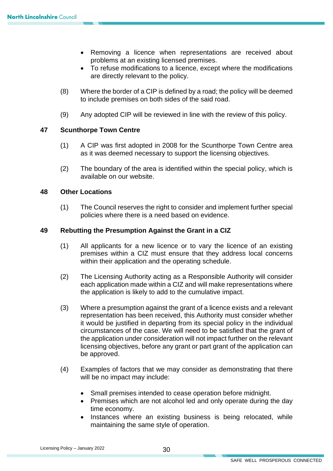- Removing a licence when representations are received about problems at an existing licensed premises.
- • To refuse modifications to a licence, except where the modifications are directly relevant to the policy.
- (8) Where the border of a CIP is defined by a road; the policy will be deemed to include premises on both sides of the said road.
- (9) Any adopted CIP will be reviewed in line with the review of this policy.

#### **47 Scunthorpe Town Centre**

- (1) A CIP was first adopted in 2008 for the Scunthorpe Town Centre area as it was deemed necessary to support the licensing objectives.
- (2) The boundary of the area is identified within the special policy, which is available on our website.

#### **48 Other Locations**

(1) The Council reserves the right to consider and implement further special policies where there is a need based on evidence.

#### **49 Rebutting the Presumption Against the Grant in a CIZ**

- (1) All applicants for a new licence or to vary the licence of an existing premises within a CIZ must ensure that they address local concerns within their application and the operating schedule.
- (2) The Licensing Authority acting as a Responsible Authority will consider each application made within a CIZ and will make representations where the application is likely to add to the cumulative impact.
- circumstances of the case. We will need to be satisfied that the grant of licensing objectives, before any grant or part grant of the application can (3) Where a presumption against the grant of a licence exists and a relevant representation has been received, this Authority must consider whether it would be justified in departing from its special policy in the individual the application under consideration will not impact further on the relevant be approved.
- (4) Examples of factors that we may consider as demonstrating that there will be no impact may include:
	- Small premises intended to cease operation before midnight.
	- Premises which are not alcohol led and only operate during the day time economy.
	- maintaining the same style of operation. • Instances where an existing business is being relocated, while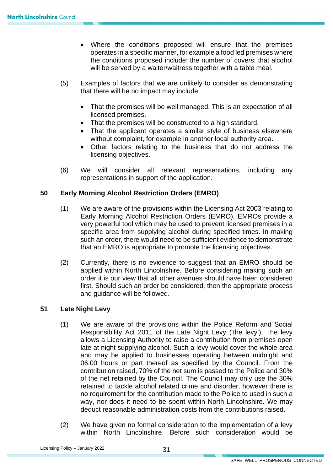- operates in a specific manner, for example a food led premises where • Where the conditions proposed will ensure that the premises the conditions proposed include; the number of covers; that alcohol will be served by a waiter/waitress together with a table meal.
- (5) Examples of factors that we are unlikely to consider as demonstrating that there will be no impact may include:
	- • That the premises will be well managed. This is an expectation of all licensed premises.
	- That the premises will be constructed to a high standard.
	- That the applicant operates a similar style of business elsewhere without complaint, for example in another local authority area.
	- Other factors relating to the business that do not address the licensing objectives.
- (6) We will consider all relevant representations, including any representations in support of the application.

#### **50 Early Morning Alcohol Restriction Orders (EMRO)**

- Early Morning Alcohol Restriction Orders (EMRO). EMROs provide a such an order, there would need to be sufficient evidence to demonstrate (1) We are aware of the provisions within the Licensing Act 2003 relating to very powerful tool which may be used to prevent licensed premises in a specific area from supplying alcohol during specified times. In making that an EMRO is appropriate to promote the licensing objectives.
- (2) Currently, there is no evidence to suggest that an EMRO should be applied within North Lincolnshire. Before considering making such an order it is our view that all other avenues should have been considered first. Should such an order be considered, then the appropriate process and guidance will be followed.

#### **51 Late Night Levy**

- (1) We are aware of the provisions within the Police Reform and Social allows a Licensing Authority to raise a contribution from premises open and may be applied to businesses operating between midnight and 06.00 hours or part thereof as specified by the Council. From the contribution raised, 70% of the net sum is passed to the Police and 30% Responsibility Act 2011 of the Late Night Levy ('the levy'). The levy late at night supplying alcohol. Such a levy would cover the whole area of the net retained by the Council. The Council may only use the 30% retained to tackle alcohol related crime and disorder, however there is no requirement for the contribution made to the Police to used in such a way, nor does it need to be spent within North Lincolnshire. We may deduct reasonable administration costs from the contributions raised.
- (2) We have given no formal consideration to the implementation of a levy within North Lincolnshire. Before such consideration would be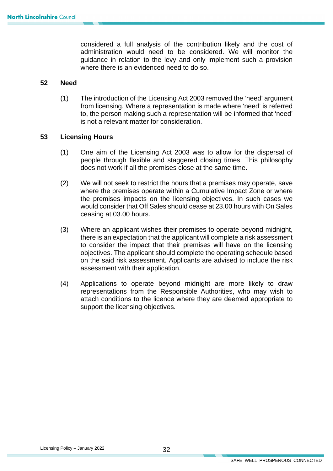administration would need to be considered. We will monitor the considered a full analysis of the contribution likely and the cost of guidance in relation to the levy and only implement such a provision where there is an evidenced need to do so.

#### **52 Need**

 is not a relevant matter for consideration. (1) The introduction of the Licensing Act 2003 removed the 'need' argument from licensing. Where a representation is made where 'need' is referred to, the person making such a representation will be informed that 'need'

#### **53 Licensing Hours**

- (1) One aim of the Licensing Act 2003 was to allow for the dispersal of people through flexible and staggered closing times. This philosophy does not work if all the premises close at the same time.
- (2) We will not seek to restrict the hours that a premises may operate, save where the premises operate within a Cumulative Impact Zone or where the premises impacts on the licensing objectives. In such cases we would consider that Off Sales should cease at 23.00 hours with On Sales ceasing at 03.00 hours.
- (3) Where an applicant wishes their premises to operate beyond midnight, there is an expectation that the applicant will complete a risk assessment to consider the impact that their premises will have on the licensing objectives. The applicant should complete the operating schedule based on the said risk assessment. Applicants are advised to include the risk assessment with their application.
- (4) Applications to operate beyond midnight are more likely to draw representations from the Responsible Authorities, who may wish to attach conditions to the licence where they are deemed appropriate to support the licensing objectives.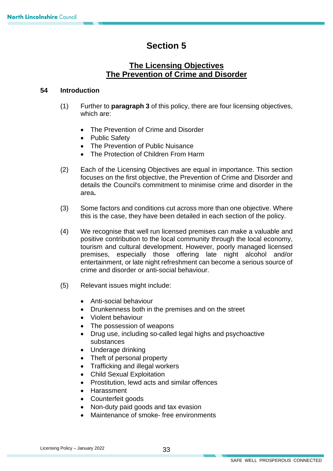## **Section 5**

#### **The Licensing Objectives The Prevention of Crime and Disorder**

#### **54 Introduction**

- (1) Further to **paragraph 3** of this policy, there are four licensing objectives, which are:
	- The Prevention of Crime and Disorder
	- Public Safety
	- The Prevention of Public Nuisance
	- The Protection of Children From Harm
- focuses on the first objective, the Prevention of Crime and Disorder and (2) Each of the Licensing Objectives are equal in importance. This section details the Council's commitment to minimise crime and disorder in the area**.**
- (3) Some factors and conditions cut across more than one objective. Where this is the case, they have been detailed in each section of the policy.
- (4) We recognise that well run licensed premises can make a valuable and positive contribution to the local community through the local economy, tourism and cultural development. However, poorly managed licensed premises, especially those offering late night alcohol and/or entertainment, or late night refreshment can become a serious source of crime and disorder or anti-social behaviour.
- (5) Relevant issues might include:
	- Anti-social behaviour
	- Drunkenness both in the premises and on the street
	- Violent behaviour
	- The possession of weapons
	- Drug use, including so-called legal highs and psychoactive substances
	- Underage drinking
	- Theft of personal property
	- Trafficking and illegal workers
	- Child Sexual Exploitation
	- Prostitution, lewd acts and similar offences
	- Harassment
	- Counterfeit goods
	- Non-duty paid goods and tax evasion
	- Maintenance of smoke- free environments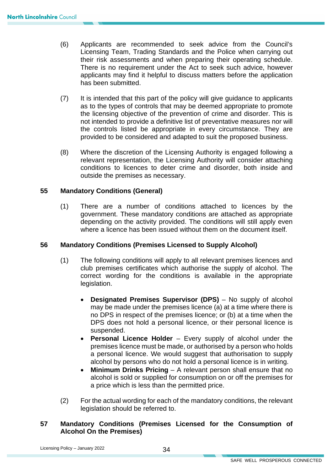- applicants may find it helpful to discuss matters before the application (6) Applicants are recommended to seek advice from the Council's Licensing Team, Trading Standards and the Police when carrying out their risk assessments and when preparing their operating schedule. There is no requirement under the Act to seek such advice, however has been submitted.
- (7) It is intended that this part of the policy will give guidance to applicants as to the types of controls that may be deemed appropriate to promote not intended to provide a definitive list of preventative measures nor will the controls listed be appropriate in every circumstance. They are the licensing objective of the prevention of crime and disorder. This is provided to be considered and adapted to suit the proposed business.
- (8) Where the discretion of the Licensing Authority is engaged following a relevant representation, the Licensing Authority will consider attaching conditions to licences to deter crime and disorder, both inside and outside the premises as necessary.

#### **55 Mandatory Conditions (General)**

 (1) There are a number of conditions attached to licences by the government. These mandatory conditions are attached as appropriate depending on the activity provided. The conditions will still apply even where a licence has been issued without them on the document itself.

#### **56 Mandatory Conditions (Premises Licensed to Supply Alcohol)**

- (1) The following conditions will apply to all relevant premises licences and club premises certificates which authorise the supply of alcohol. The correct wording for the conditions is available in the appropriate legislation.
	- • **Designated Premises Supervisor (DPS)** No supply of alcohol may be made under the premises licence (a) at a time where there is no DPS in respect of the premises licence; or (b) at a time when the DPS does not hold a personal licence, or their personal licence is suspended.
	- **Personal Licence Holder** Every supply of alcohol under the premises licence must be made, or authorised by a person who holds a personal licence. We would suggest that authorisation to supply alcohol by persons who do not hold a personal licence is in writing.
	- **Minimum Drinks Pricing**  A relevant person shall ensure that no alcohol is sold or supplied for consumption on or off the premises for a price which is less than the permitted price.
- (2) For the actual wording for each of the mandatory conditions, the relevant legislation should be referred to.

#### **57 Mandatory Conditions (Premises Licensed for the Consumption of Alcohol On the Premises)**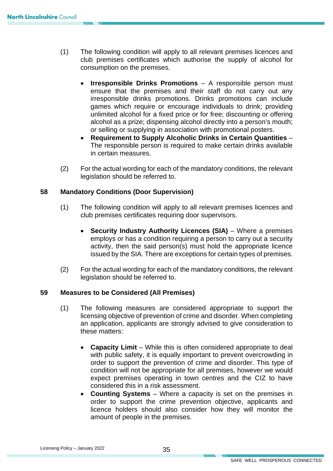- (1) The following condition will apply to all relevant premises licences and club premises certificates which authorise the supply of alcohol for consumption on the premises.
	- • **Irresponsible Drinks Promotions** A responsible person must alcohol as a prize; dispensing alcohol directly into a person's mouth; ensure that the premises and their staff do not carry out any irresponsible drinks promotions. Drinks promotions can include games which require or encourage individuals to drink; providing unlimited alcohol for a fixed price or for free; discounting or offering or selling or supplying in association with promotional posters.
	- **Requirement to Supply Alcoholic Drinks in Certain Quantities** The responsible person is required to make certain drinks available in certain measures.
- (2) For the actual wording for each of the mandatory conditions, the relevant legislation should be referred to.

#### **58 Mandatory Conditions (Door Supervision)**

- (1) The following condition will apply to all relevant premises licences and club premises certificates requiring door supervisors.
	- activity, then the said person(s) must hold the appropriate licence **Security Industry Authority Licences (SIA)** – Where a premises employs or has a condition requiring a person to carry out a security issued by the SIA. There are exceptions for certain types of premises.
- (2) For the actual wording for each of the mandatory conditions, the relevant legislation should be referred to.

#### **59 Measures to be Considered (All Premises)**

- an application, applicants are strongly advised to give consideration to (1) The following measures are considered appropriate to support the licensing objective of prevention of crime and disorder. When completing these matters:
	- **Capacity Limit** While this is often considered appropriate to deal with public safety, it is equally important to prevent overcrowding in order to support the prevention of crime and disorder. This type of condition will not be appropriate for all premises, however we would expect premises operating in town centres and the CIZ to have considered this in a risk assessment.
	- **Counting Systems**  Where a capacity is set on the premises in order to support the crime prevention objective, applicants and licence holders should also consider how they will monitor the amount of people in the premises.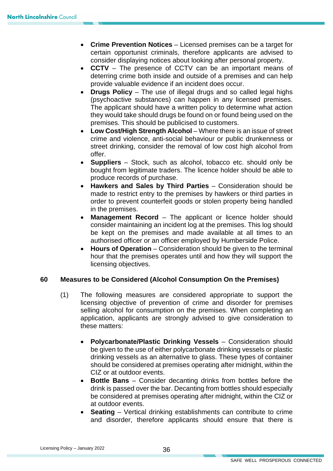- **Crime Prevention Notices** Licensed premises can be a target for certain opportunist criminals, therefore applicants are advised to consider displaying notices about looking after personal property.
- deterring crime both inside and outside of a premises and can help provide valuable evidence if an incident does occur. • **CCTV** – The presence of CCTV can be an important means of
- The applicant should have a written policy to determine what action • **Drugs Policy** – The use of illegal drugs and so called legal highs (psychoactive substances) can happen in any licensed premises. they would take should drugs be found on or found being used on the premises. This should be publicised to customers.
- crime and violence, anti-social behaviour or public drunkenness or street drinking, consider the removal of low cost high alcohol from • **Low Cost/High Strength Alcohol** – Where there is an issue of street offer.
- **Suppliers** Stock, such as alcohol, tobacco etc. should only be bought from legitimate traders. The licence holder should be able to produce records of purchase.
- made to restrict entry to the premises by hawkers or third parties in • **Hawkers and Sales by Third Parties** – Consideration should be order to prevent counterfeit goods or stolen property being handled in the premises.
- **Management Record** The applicant or licence holder should consider maintaining an incident log at the premises. This log should be kept on the premises and made available at all times to an authorised officer or an officer employed by Humberside Police.
- **Hours of Operation**  Consideration should be given to the terminal hour that the premises operates until and how they will support the licensing objectives.

#### **60 Measures to be Considered (Alcohol Consumption On the Premises)**

- licensing objective of prevention of crime and disorder for premises (1) The following measures are considered appropriate to support the selling alcohol for consumption on the premises. When completing an application, applicants are strongly advised to give consideration to these matters:
	- be given to the use of either polycarbonate drinking vessels or plastic CIZ or at outdoor events. • **Polycarbonate/Plastic Drinking Vessels** – Consideration should drinking vessels as an alternative to glass. These types of container should be considered at premises operating after midnight, within the
	- • **Bottle Bans**  Consider decanting drinks from bottles before the at outdoor events. drink is passed over the bar. Decanting from bottles should especially be considered at premises operating after midnight, within the CIZ or
	- **Seating** Vertical drinking establishments can contribute to crime and disorder, therefore applicants should ensure that there is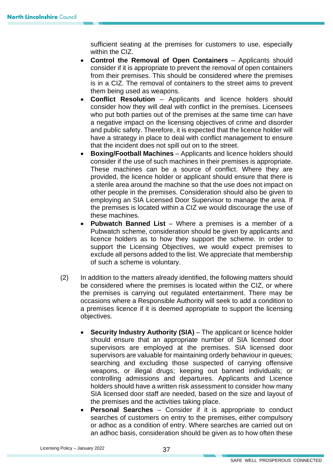sufficient seating at the premises for customers to use, especially within the CIZ.

- **Control the Removal of Open Containers**  Applicants should consider if it is appropriate to prevent the removal of open containers from their premises. This should be considered where the premises is in a CIZ. The removal of containers to the street aims to prevent them being used as weapons.
- **Conflict Resolution** Applicants and licence holders should consider how they will deal with conflict in the premises. Licensees who put both parties out of the premises at the same time can have a negative impact on the licensing objectives of crime and disorder and public safety. Therefore, it is expected that the licence holder will have a strategy in place to deal with conflict management to ensure that the incident does not spill out on to the street.
- other people in the premises. Consideration should also be given to • **Boxing/Football Machines** – Applicants and licence holders should consider if the use of such machines in their premises is appropriate. These machines can be a source of conflict. Where they are provided, the licence holder or applicant should ensure that there is a sterile area around the machine so that the use does not impact on employing an SIA Licensed Door Supervisor to manage the area. If the premises is located within a CIZ we would discourage the use of these machines.
- exclude all persons added to the list. We appreciate that membership • **Pubwatch Banned List** – Where a premises is a member of a Pubwatch scheme, consideration should be given by applicants and licence holders as to how they support the scheme. In order to support the Licensing Objectives, we would expect premises to of such a scheme is voluntary.
- (2) In addition to the matters already identified, the following matters should be considered where the premises is located within the CIZ, or where the premises is carrying out regulated entertainment. There may be occasions where a Responsible Authority will seek to add a condition to a premises licence if it is deemed appropriate to support the licensing objectives.
	- • **Security Industry Authority (SIA)** The applicant or licence holder SIA licensed door staff are needed, based on the size and layout of should ensure that an appropriate number of SIA licensed door supervisors are employed at the premises. SIA licensed door supervisors are valuable for maintaining orderly behaviour in queues; searching and excluding those suspected of carrying offensive weapons, or illegal drugs; keeping out banned individuals; or controlling admissions and departures. Applicants and Licence holders should have a written risk assessment to consider how many the premises and the activities taking place.
	- searches of customers on entry to the premises, either compulsory • **Personal Searches** – Consider if it is appropriate to conduct or adhoc as a condition of entry. Where searches are carried out on an adhoc basis, consideration should be given as to how often these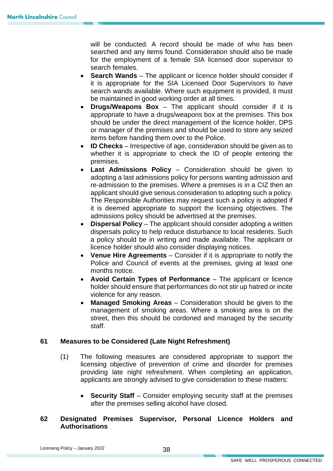will be conducted. A record should be made of who has been searched and any items found. Consideration should also be made for the employment of a female SIA licensed door supervisor to search females.

- search wands available. Where such equipment is provided, it must **Search Wands** – The applicant or licence holder should consider if it is appropriate for the SIA Licensed Door Supervisors to have be maintained in good working order at all times.
- appropriate to have a drugs/weapons box at the premises. This box • **Drugs/Weapons Box** – The applicant should consider if it is should be under the direct management of the licence holder, DPS or manager of the premises and should be used to store any seized items before handing them over to the Police.
- • **ID Checks**  Irrespective of age, consideration should be given as to whether it is appropriate to check the ID of people entering the premises.
- Last Admissions Policy Consideration should be given to adopting a last admissions policy for persons wanting admission and re-admission to the premises. Where a premises is in a CIZ then an applicant should give serious consideration to adopting such a policy. The Responsible Authorities may request such a policy is adopted if it is deemed appropriate to support the licensing objectives. The admissions policy should be advertised at the premises.
- a policy should be in writing and made available. The applicant or **Dispersal Policy** – The applicant should consider adopting a written dispersals policy to help reduce disturbance to local residents. Such licence holder should also consider displaying notices.
- **Venue Hire Agreements**  Consider if it is appropriate to notify the Police and Council of events at the premises, giving at least one months notice.
- • **Avoid Certain Types of Performance**  The applicant or licence holder should ensure that performances do not stir up hatred or incite violence for any reason.
- **Managed Smoking Areas** Consideration should be given to the management of smoking areas. Where a smoking area is on the street, then this should be cordoned and managed by the security staff.

#### **61 Measures to be Considered (Late Night Refreshment)**

- licensing objective of prevention of crime and disorder for premises (1) The following measures are considered appropriate to support the providing late night refreshment. When completing an application, applicants are strongly advised to give consideration to these matters:
	- **Security Staff** Consider employing security staff at the premises after the premises selling alcohol have closed.

#### **62 Designated Premises Supervisor, Personal Licence Holders and Authorisations**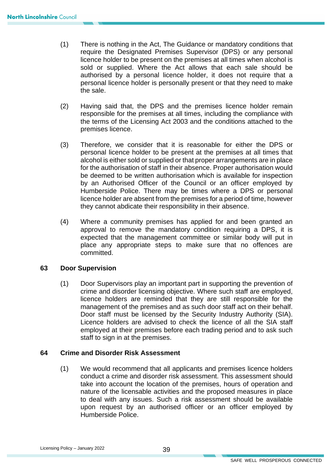- require the Designated Premises Supervisor (DPS) or any personal (1) There is nothing in the Act, The Guidance or mandatory conditions that licence holder to be present on the premises at all times when alcohol is sold or supplied. Where the Act allows that each sale should be authorised by a personal licence holder, it does not require that a personal licence holder is personally present or that they need to make the sale.
- (2) Having said that, the DPS and the premises licence holder remain responsible for the premises at all times, including the compliance with the terms of the Licensing Act 2003 and the conditions attached to the premises licence.
- personal licence holder to be present at the premises at all times that licence holder are absent from the premises for a period of time, however (3) Therefore, we consider that it is reasonable for either the DPS or alcohol is either sold or supplied or that proper arrangements are in place for the authorisation of staff in their absence. Proper authorisation would be deemed to be written authorisation which is available for inspection by an Authorised Officer of the Council or an officer employed by Humberside Police. There may be times where a DPS or personal they cannot abdicate their responsibility in their absence.
- (4) Where a community premises has applied for and been granted an approval to remove the mandatory condition requiring a DPS, it is expected that the management committee or similar body will put in place any appropriate steps to make sure that no offences are committed.

#### **63 Door Supervision**

(1) Door Supervisors play an important part in supporting the prevention of crime and disorder licensing objective. Where such staff are employed, licence holders are reminded that they are still responsible for the management of the premises and as such door staff act on their behalf. Door staff must be licensed by the Security Industry Authority (SIA). Licence holders are advised to check the licence of all the SIA staff employed at their premises before each trading period and to ask such staff to sign in at the premises.

#### **64 Crime and Disorder Risk Assessment**

(1) We would recommend that all applicants and premises licence holders conduct a crime and disorder risk assessment. This assessment should take into account the location of the premises, hours of operation and nature of the licensable activities and the proposed measures in place to deal with any issues. Such a risk assessment should be available upon request by an authorised officer or an officer employed by Humberside Police.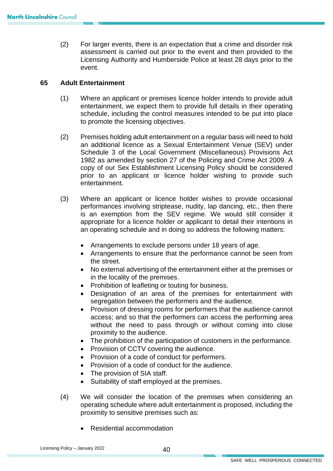(2) For larger events, there is an expectation that a crime and disorder risk assessment is carried out prior to the event and then provided to the Licensing Authority and Humberside Police at least 28 days prior to the event.

#### **65 Adult Entertainment**

- (1) Where an applicant or premises licence holder intends to provide adult entertainment, we expect them to provide full details in their operating schedule, including the control measures intended to be put into place to promote the licensing objectives.
- an additional licence as a Sexual Entertainment Venue (SEV) under Schedule 3 of the Local Government (Miscellaneous) Provisions Act 1982 as amended by section 27 of the Policing and Crime Act 2009. A copy of our Sex Establishment Licensing Policy should be considered (2) Premises holding adult entertainment on a regular basis will need to hold prior to an applicant or licence holder wishing to provide such entertainment.
- appropriate for a licence holder or applicant to detail their intentions in (3) Where an applicant or licence holder wishes to provide occasional performances involving striptease, nudity, lap dancing, etc., then there is an exemption from the SEV regime. We would still consider it an operating schedule and in doing so address the following matters:
	- Arrangements to exclude persons under 18 years of age.
	- Arrangements to ensure that the performance cannot be seen from the street.
	- No external advertising of the entertainment either at the premises or in the locality of the premises.
	- Prohibition of leafleting or touting for business.
	- Designation of an area of the premises for entertainment with segregation between the performers and the audience.
	- • Provision of dressing rooms for performers that the audience cannot access; and so that the performers can access the performing area without the need to pass through or without coming into close proximity to the audience.
	- The prohibition of the participation of customers in the performance.
	- Provision of CCTV covering the audience.
	- Provision of a code of conduct for performers.
	- Provision of a code of conduct for the audience.
	- The provision of SIA staff.
	- Suitability of staff employed at the premises.
- (4) We will consider the location of the premises when considering an operating schedule where adult entertainment is proposed, including the proximity to sensitive premises such as:
	- Residential accommodation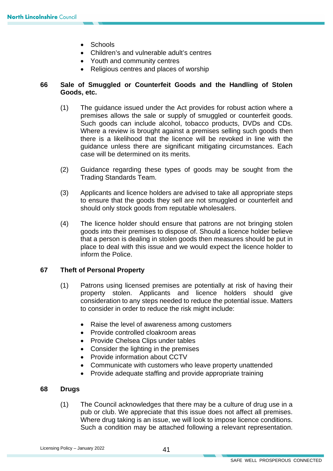- Schools
- Children's and vulnerable adult's centres
- Youth and community centres
- Religious centres and places of worship

#### **66 Sale of Smuggled or Counterfeit Goods and the Handling of Stolen Goods, etc.**

- Such goods can include alcohol, tobacco products, DVDs and CDs. (1) The guidance issued under the Act provides for robust action where a premises allows the sale or supply of smuggled or counterfeit goods. Where a review is brought against a premises selling such goods then there is a likelihood that the licence will be revoked in line with the guidance unless there are significant mitigating circumstances. Each case will be determined on its merits.
- (2) Guidance regarding these types of goods may be sought from the Trading Standards Team.
- to ensure that the goods they sell are not smuggled or counterfeit and (3) Applicants and licence holders are advised to take all appropriate steps should only stock goods from reputable wholesalers.
- (4) The licence holder should ensure that patrons are not bringing stolen goods into their premises to dispose of. Should a licence holder believe that a person is dealing in stolen goods then measures should be put in place to deal with this issue and we would expect the licence holder to inform the Police.

#### **67 Theft of Personal Property**

- (1) Patrons using licensed premises are potentially at risk of having their property stolen. Applicants and licence holders should give consideration to any steps needed to reduce the potential issue. Matters to consider in order to reduce the risk might include:
	- Raise the level of awareness among customers
	- Provide controlled cloakroom areas
	- Provide Chelsea Clips under tables
	- Consider the lighting in the premises
	- Provide information about CCTV
	- Communicate with customers who leave property unattended
	- Provide adequate staffing and provide appropriate training

#### **68 Drugs**

(1) The Council acknowledges that there may be a culture of drug use in a pub or club. We appreciate that this issue does not affect all premises. Where drug taking is an issue, we will look to impose licence conditions. Such a condition may be attached following a relevant representation.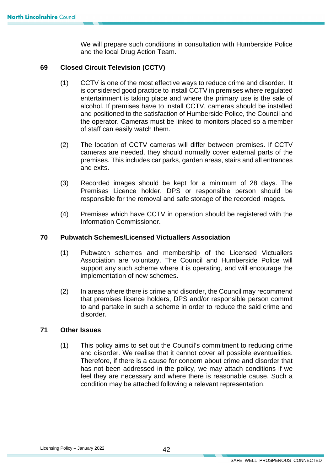We will prepare such conditions in consultation with Humberside Police and the local Drug Action Team.

#### **69 Closed Circuit Television (CCTV)**

- alcohol. If premises have to install CCTV, cameras should be installed (1) CCTV is one of the most effective ways to reduce crime and disorder. It is considered good practice to install CCTV in premises where regulated entertainment is taking place and where the primary use is the sale of and positioned to the satisfaction of Humberside Police, the Council and the operator. Cameras must be linked to monitors placed so a member of staff can easily watch them.
- cameras are needed, they should normally cover external parts of the premises. This includes car parks, garden areas, stairs and all entrances (2) The location of CCTV cameras will differ between premises. If CCTV and exits.
- (3) Recorded images should be kept for a minimum of 28 days. The Premises Licence holder, DPS or responsible person should be responsible for the removal and safe storage of the recorded images.
- (4) Premises which have CCTV in operation should be registered with the Information Commissioner.

#### **70 Pubwatch Schemes/Licensed Victuallers Association**

- (1) Pubwatch schemes and membership of the Licensed Victuallers Association are voluntary. The Council and Humberside Police will support any such scheme where it is operating, and will encourage the implementation of new schemes.
- disorder. (2) In areas where there is crime and disorder, the Council may recommend that premises licence holders, DPS and/or responsible person commit to and partake in such a scheme in order to reduce the said crime and

#### **71 Other Issues**

 Therefore, if there is a cause for concern about crime and disorder that (1) This policy aims to set out the Council's commitment to reducing crime and disorder. We realise that it cannot cover all possible eventualities. has not been addressed in the policy, we may attach conditions if we feel they are necessary and where there is reasonable cause. Such a condition may be attached following a relevant representation.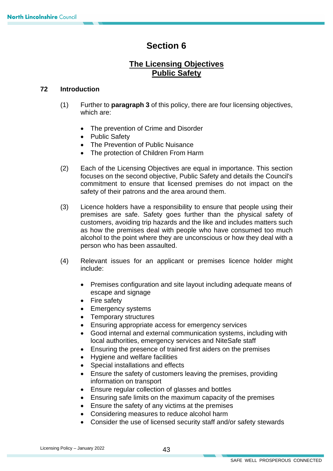## **Section 6**

## **The Licensing Objectives Public Safety**

#### **72 Introduction**

- (1) Further to **paragraph 3** of this policy, there are four licensing objectives, which are:
	- The prevention of Crime and Disorder
	- Public Safety
	- The Prevention of Public Nuisance
	- The protection of Children From Harm
- safety of their patrons and the area around them. (2) Each of the Licensing Objectives are equal in importance. This section focuses on the second objective, Public Safety and details the Council's commitment to ensure that licensed premises do not impact on the
- premises are safe. Safety goes further than the physical safety of as how the premises deal with people who have consumed too much alcohol to the point where they are unconscious or how they deal with a (3) Licence holders have a responsibility to ensure that people using their customers, avoiding trip hazards and the like and includes matters such person who has been assaulted.
- (4) Relevant issues for an applicant or premises licence holder might include:
	- • Premises configuration and site layout including adequate means of escape and signage
	- Fire safety
	- Emergency systems
	- Temporary structures
	- Ensuring appropriate access for emergency services
	- Good internal and external communication systems, including with local authorities, emergency services and NiteSafe staff
	- Ensuring the presence of trained first aiders on the premises
	- Hygiene and welfare facilities
	- Special installations and effects
	- Ensure the safety of customers leaving the premises, providing information on transport
	- Ensure regular collection of glasses and bottles
	- Ensuring safe limits on the maximum capacity of the premises
	- Ensure the safety of any victims at the premises
	- Considering measures to reduce alcohol harm
	- Consider the use of licensed security staff and/or safety stewards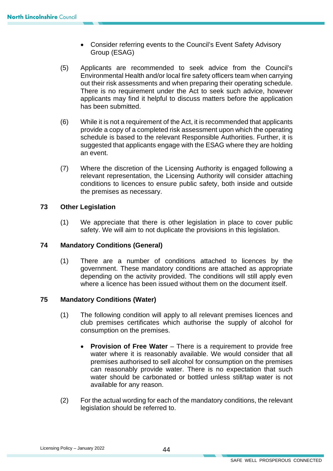- Consider referring events to the Council's Event Safety Advisory Group (ESAG)
- applicants may find it helpful to discuss matters before the application (5) Applicants are recommended to seek advice from the Council's Environmental Health and/or local fire safety officers team when carrying out their risk assessments and when preparing their operating schedule. There is no requirement under the Act to seek such advice, however has been submitted.
- suggested that applicants engage with the ESAG where they are holding (6) While it is not a requirement of the Act, it is recommended that applicants provide a copy of a completed risk assessment upon which the operating schedule is based to the relevant Responsible Authorities. Further, it is an event.
- (7) Where the discretion of the Licensing Authority is engaged following a relevant representation, the Licensing Authority will consider attaching conditions to licences to ensure public safety, both inside and outside the premises as necessary.

#### **73 Other Legislation**

(1) We appreciate that there is other legislation in place to cover public safety. We will aim to not duplicate the provisions in this legislation.

#### **74 Mandatory Conditions (General)**

 (1) There are a number of conditions attached to licences by the government. These mandatory conditions are attached as appropriate depending on the activity provided. The conditions will still apply even where a licence has been issued without them on the document itself.

#### **75 Mandatory Conditions (Water)**

- (1) The following condition will apply to all relevant premises licences and club premises certificates which authorise the supply of alcohol for consumption on the premises.
	- water where it is reasonably available. We would consider that all premises authorised to sell alcohol for consumption on the premises can reasonably provide water. There is no expectation that such • **Provision of Free Water** – There is a requirement to provide free water should be carbonated or bottled unless still/tap water is not available for any reason.
- (2) For the actual wording for each of the mandatory conditions, the relevant legislation should be referred to.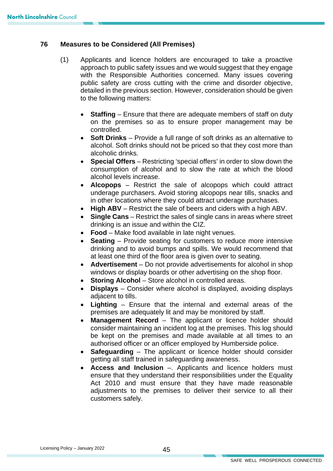#### **76 Measures to be Considered (All Premises)**

- (1) Applicants and licence holders are encouraged to take a proactive approach to public safety issues and we would suggest that they engage with the Responsible Authorities concerned. Many issues covering public safety are cross cutting with the crime and disorder objective, detailed in the previous section. However, consideration should be given to the following matters:
	- on the premises so as to ensure proper management may be **Staffing** – Ensure that there are adequate members of staff on duty controlled.
	- alcohol. Soft drinks should not be priced so that they cost more than • **Soft Drinks** – Provide a full range of soft drinks as an alternative to alcoholic drinks.
	- • **Special Offers**  Restricting 'special offers' in order to slow down the consumption of alcohol and to slow the rate at which the blood alcohol levels increase.
	- **Alcopops**  Restrict the sale of alcopops which could attract underage purchasers. Avoid storing alcopops near tills, snacks and in other locations where they could attract underage purchases.
	- **High ABV**  Restrict the sale of beers and ciders with a high ABV.
	- **Single Cans** Restrict the sales of single cans in areas where street drinking is an issue and within the CIZ.
	- **Food**  Make food available in late night venues.
	- **Seating**  Provide seating for customers to reduce more intensive drinking and to avoid bumps and spills. We would recommend that at least one third of the floor area is given over to seating.
	- **Advertisement** Do not provide advertisements for alcohol in shop windows or display boards or other advertising on the shop floor.
	- **Storing Alcohol** Store alcohol in controlled areas.
	- **Displays**  Consider where alcohol is displayed, avoiding displays adjacent to tills.
	- **Lighting**  Ensure that the internal and external areas of the premises are adequately lit and may be monitored by staff.
	- authorised officer or an officer employed by Humberside police. **Management Record** – The applicant or licence holder should consider maintaining an incident log at the premises. This log should be kept on the premises and made available at all times to an
	- **Safeguarding**  The applicant or licence holder should consider getting all staff trained in safeguarding awareness.
	- • **Access and Inclusion** –. Applicants and licence holders must ensure that they understand their responsibilities under the Equality Act 2010 and must ensure that they have made reasonable adjustments to the premises to deliver their service to all their customers safely.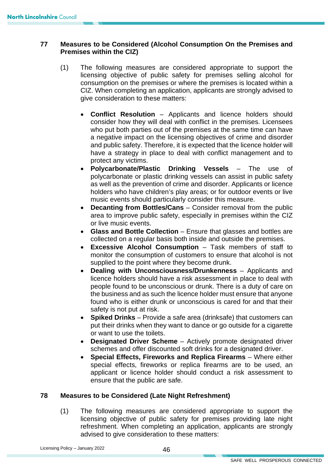#### **77 Measures to be Considered (Alcohol Consumption On the Premises and Premises within the CIZ)**

- licensing objective of public safety for premises selling alcohol for CIZ. When completing an application, applicants are strongly advised to (1) The following measures are considered appropriate to support the consumption on the premises or where the premises is located within a give consideration to these matters:
	- **Conflict Resolution** Applicants and licence holders should consider how they will deal with conflict in the premises. Licensees who put both parties out of the premises at the same time can have a negative impact on the licensing objectives of crime and disorder and public safety. Therefore, it is expected that the licence holder will have a strategy in place to deal with conflict management and to protect any victims.
	- polycarbonate or plastic drinking vessels can assist in public safety • **Polycarbonate/Plastic Drinking Vessels** – The use of as well as the prevention of crime and disorder. Applicants or licence holders who have children's play areas; or for outdoor events or live music events should particularly consider this measure.
	- **Decanting from Bottles/Cans** Consider removal from the public area to improve public safety, especially in premises within the CIZ or live music events.
	- **Glass and Bottle Collection**  Ensure that glasses and bottles are collected on a regular basis both inside and outside the premises.
	- **Excessive Alcohol Consumption**  Task members of staff to monitor the consumption of customers to ensure that alcohol is not supplied to the point where they become drunk.
	- **Dealing with Unconsciousness/Drunkenness**  Applicants and licence holders should have a risk assessment in place to deal with people found to be unconscious or drunk. There is a duty of care on the business and as such the licence holder must ensure that anyone found who is either drunk or unconscious is cared for and that their safety is not put at risk.
	- • **Spiked Drinks** Provide a safe area (drinksafe) that customers can put their drinks when they want to dance or go outside for a cigarette or want to use the toilets.
	- schemes and offer discounted soft drinks for a designated driver. • **Designated Driver Scheme** – Actively promote designated driver
	- special effects, fireworks or replica firearms are to be used, an • **Special Effects, Fireworks and Replica Firearms** – Where either applicant or licence holder should conduct a risk assessment to ensure that the public are safe.

#### **78 Measures to be Considered (Late Night Refreshment)**

(1) The following measures are considered appropriate to support the licensing objective of public safety for premises providing late night refreshment. When completing an application, applicants are strongly advised to give consideration to these matters: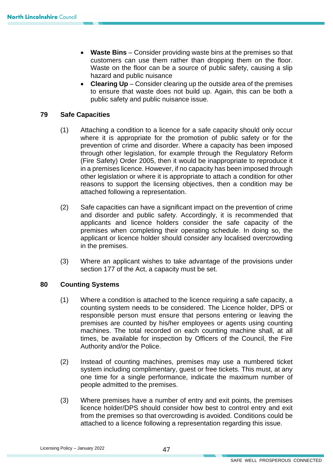- **Waste Bins** Consider providing waste bins at the premises so that customers can use them rather than dropping them on the floor. Waste on the floor can be a source of public safety, causing a slip hazard and public nuisance
- to ensure that waste does not build up. Again, this can be both a • **Clearing Up** – Consider clearing up the outside area of the premises public safety and public nuisance issue.

#### **79 Safe Capacities**

- where it is appropriate for the promotion of public safety or for the (1) Attaching a condition to a licence for a safe capacity should only occur prevention of crime and disorder. Where a capacity has been imposed through other legislation, for example through the Regulatory Reform (Fire Safety) Order 2005, then it would be inappropriate to reproduce it in a premises licence. However, if no capacity has been imposed through other legislation or where it is appropriate to attach a condition for other reasons to support the licensing objectives, then a condition may be attached following a representation.
- (2) Safe capacities can have a significant impact on the prevention of crime and disorder and public safety. Accordingly, it is recommended that applicants and licence holders consider the safe capacity of the premises when completing their operating schedule. In doing so, the applicant or licence holder should consider any localised overcrowding in the premises.
- (3) Where an applicant wishes to take advantage of the provisions under section 177 of the Act, a capacity must be set.

#### **80 Counting Systems**

- machines. The total recorded on each counting machine shall, at all (1) Where a condition is attached to the licence requiring a safe capacity, a counting system needs to be considered. The Licence holder, DPS or responsible person must ensure that persons entering or leaving the premises are counted by his/her employees or agents using counting times, be available for inspection by Officers of the Council, the Fire Authority and/or the Police.
- one time for a single performance, indicate the maximum number of (2) Instead of counting machines, premises may use a numbered ticket system including complimentary, guest or free tickets. This must, at any people admitted to the premises.
- (3) Where premises have a number of entry and exit points, the premises licence holder/DPS should consider how best to control entry and exit from the premises so that overcrowding is avoided. Conditions could be attached to a licence following a representation regarding this issue.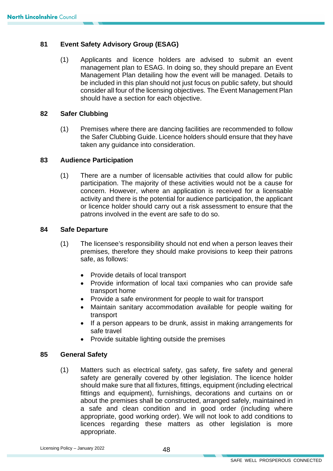#### **81 Event Safety Advisory Group (ESAG)**

 (1) Applicants and licence holders are advised to submit an event consider all four of the licensing objectives. The Event Management Plan management plan to ESAG. In doing so, they should prepare an Event Management Plan detailing how the event will be managed. Details to be included in this plan should not just focus on public safety, but should should have a section for each objective.

#### **82 Safer Clubbing**

 the Safer Clubbing Guide. Licence holders should ensure that they have (1) Premises where there are dancing facilities are recommended to follow taken any guidance into consideration.

#### **83 Audience Participation**

 (1) There are a number of licensable activities that could allow for public or licence holder should carry out a risk assessment to ensure that the participation. The majority of these activities would not be a cause for concern. However, where an application is received for a licensable activity and there is the potential for audience participation, the applicant patrons involved in the event are safe to do so.

#### **84 Safe Departure**

- (1) The licensee's responsibility should not end when a person leaves their premises, therefore they should make provisions to keep their patrons safe, as follows:
	- Provide details of local transport
	- Provide information of local taxi companies who can provide safe transport home
	- Provide a safe environment for people to wait for transport
	- Maintain sanitary accommodation available for people waiting for transport
	- If a person appears to be drunk, assist in making arrangements for safe travel
	- Provide suitable lighting outside the premises

#### **85 General Safety**

(1) Matters such as electrical safety, gas safety, fire safety and general safety are generally covered by other legislation. The licence holder should make sure that all fixtures, fittings, equipment (including electrical fittings and equipment), furnishings, decorations and curtains on or about the premises shall be constructed, arranged safely, maintained in a safe and clean condition and in good order (including where appropriate, good working order). We will not look to add conditions to licences regarding these matters as other legislation is more appropriate.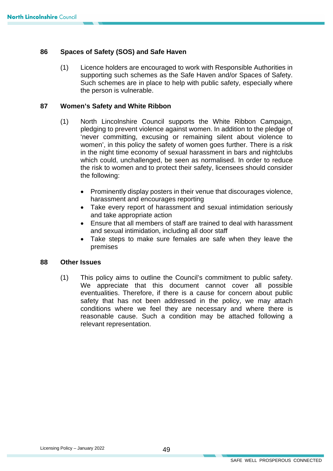#### **86 Spaces of Safety (SOS) and Safe Haven**

 supporting such schemes as the Safe Haven and/or Spaces of Safety. (1) Licence holders are encouraged to work with Responsible Authorities in Such schemes are in place to help with public safety, especially where the person is vulnerable.

#### **87 Women's Safety and White Ribbon**

- (1) North Lincolnshire Council supports the White Ribbon Campaign, pledging to prevent violence against women. In addition to the pledge of 'never committing, excusing or remaining silent about violence to women', in this policy the safety of women goes further. There is a risk in the night time economy of sexual harassment in bars and nightclubs which could, unchallenged, be seen as normalised. In order to reduce the risk to women and to protect their safety, licensees should consider the following:
	- Prominently display posters in their venue that discourages violence, harassment and encourages reporting
	- Take every report of harassment and sexual intimidation seriously and take appropriate action
	- Ensure that all members of staff are trained to deal with harassment and sexual intimidation, including all door staff
	- Take steps to make sure females are safe when they leave the premises

#### **88 Other Issues**

This policy aims to outline the Council's commitment to public safety. safety that has not been addressed in the policy, we may attach (1) This policy aims to outline the Council's commitment to public safety. We appreciate that this document cannot cover all possible eventualities. Therefore, if there is a cause for concern about public conditions where we feel they are necessary and where there is reasonable cause. Such a condition may be attached following a relevant representation.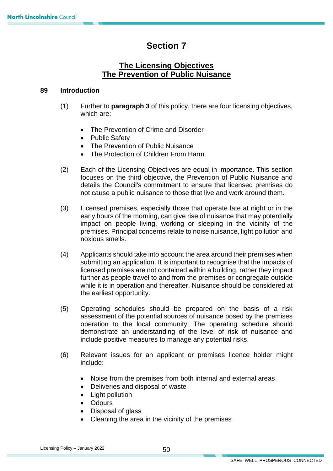## **Section 7**

#### **The Licensing Objectives The Prevention of Public Nuisance**

#### **89 Introduction**

- (1) Further to **paragraph 3** of this policy, there are four licensing objectives, which are:
	- The Prevention of Crime and Disorder
	- Public Safety
	- The Prevention of Public Nuisance
	- The Protection of Children From Harm
- (2) Each of the Licensing Objectives are equal in importance. This section focuses on the third objective, the Prevention of Public Nuisance and details the Council's commitment to ensure that licensed premises do not cause a public nuisance to those that live and work around them.
- impact on people living, working or sleeping in the vicinity of the (3) Licensed premises, especially those that operate late at night or in the early hours of the morning, can give rise of nuisance that may potentially premises. Principal concerns relate to noise nuisance, light pollution and noxious smells.
- (4) Applicants should take into account the area around their premises when submitting an application. It is important to recognise that the impacts of licensed premises are not contained within a building, rather they impact further as people travel to and from the premises or congregate outside while it is in operation and thereafter. Nuisance should be considered at the earliest opportunity.
- (5) Operating schedules should be prepared on the basis of a risk assessment of the potential sources of nuisance posed by the premises operation to the local community. The operating schedule should demonstrate an understanding of the level of risk of nuisance and include positive measures to manage any potential risks.
- (6) Relevant issues for an applicant or premises licence holder might include:
	- Noise from the premises from both internal and external areas
	- Deliveries and disposal of waste
	- Light pollution
	- Odours
	- Disposal of glass
	- Cleaning the area in the vicinity of the premises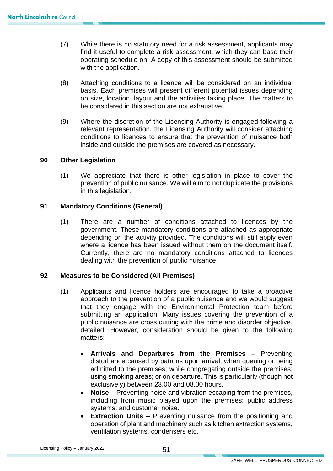- $(7)$ While there is no statutory need for a risk assessment, applicants may find it useful to complete a risk assessment, which they can base their operating schedule on. A copy of this assessment should be submitted with the application.
- basis. Each premises will present different potential issues depending (8) Attaching conditions to a licence will be considered on an individual on size, location, layout and the activities taking place. The matters to be considered in this section are not exhaustive.
- (9) Where the discretion of the Licensing Authority is engaged following a relevant representation, the Licensing Authority will consider attaching conditions to licences to ensure that the prevention of nuisance both inside and outside the premises are covered as necessary.

#### **90 Other Legislation**

(1) We appreciate that there is other legislation in place to cover the prevention of public nuisance. We will aim to not duplicate the provisions in this legislation.

#### **91 Mandatory Conditions (General)**

 (1) There are a number of conditions attached to licences by the government. These mandatory conditions are attached as appropriate depending on the activity provided. The conditions will still apply even where a licence has been issued without them on the document itself. Currently, there are no mandatory conditions attached to licences dealing with the prevention of public nuisance.

#### **92 Measures to be Considered (All Premises)**

- submitting an application. Many issues covering the prevention of a public nuisance are cross cutting with the crime and disorder objective, (1) Applicants and licence holders are encouraged to take a proactive approach to the prevention of a public nuisance and we would suggest that they engage with the Environmental Protection team before detailed. However, consideration should be given to the following matters:
	- **Arrivals and Departures from the Premises** Preventing disturbance caused by patrons upon arrival; when queuing or being admitted to the premises; while congregating outside the premises; using smoking areas; or on departure. This is particularly (though not exclusively) between 23.00 and 08.00 hours.
	- **Noise** Preventing noise and vibration escaping from the premises, including from music played upon the premises; public address systems; and customer noise.
	- operation of plant and machinery such as kitchen extraction systems, • **Extraction Units** – Preventing nuisance from the positioning and ventilation systems, condensers etc.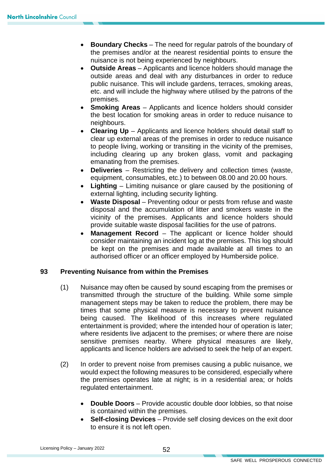- **Boundary Checks** The need for regular patrols of the boundary of the premises and/or at the nearest residential points to ensure the nuisance is not being experienced by neighbours.
- outside areas and deal with any disturbances in order to reduce etc. and will include the highway where utilised by the patrons of the • **Outside Areas** – Applicants and licence holders should manage the public nuisance. This will include gardens, terraces, smoking areas, premises.
- **Smoking Areas** Applicants and licence holders should consider the best location for smoking areas in order to reduce nuisance to neighbours.
- clear up external areas of the premises in order to reduce nuisance • **Clearing Up** – Applicants and licence holders should detail staff to to people living, working or transiting in the vicinity of the premises, including clearing up any broken glass, vomit and packaging emanating from the premises.
- **Deliveries** Restricting the delivery and collection times (waste, equipment, consumables, etc.) to between 08.00 and 20.00 hours.
- **Lighting** Limiting nuisance or glare caused by the positioning of external lighting, including security lighting.
- provide suitable waste disposal facilities for the use of patrons. • **Waste Disposal** – Preventing odour or pests from refuse and waste disposal and the accumulation of litter and smokers waste in the vicinity of the premises. Applicants and licence holders should
- authorised officer or an officer employed by Humberside police. **Management Record** – The applicant or licence holder should consider maintaining an incident log at the premises. This log should be kept on the premises and made available at all times to an

#### **93 Preventing Nuisance from within the Premises**

- applicants and licence holders are advised to seek the help of an expert. (1) Nuisance may often be caused by sound escaping from the premises or transmitted through the structure of the building. While some simple management steps may be taken to reduce the problem, there may be times that some physical measure is necessary to prevent nuisance being caused. The likelihood of this increases where regulated entertainment is provided; where the intended hour of operation is later; where residents live adjacent to the premises; or where there are noise sensitive premises nearby. Where physical measures are likely,
- the premises operates late at night; is in a residential area; or holds (2) In order to prevent noise from premises causing a public nuisance, we would expect the following measures to be considered, especially where regulated entertainment.
	- **Double Doors** Provide acoustic double door lobbies, so that noise is contained within the premises.
	- to ensure it is not left open. • **Self-closing Devices** – Provide self closing devices on the exit door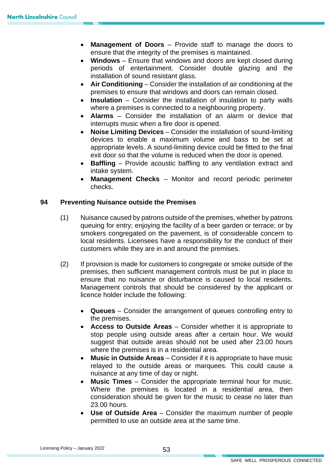- **Management of Doors** Provide staff to manage the doors to ensure that the integrity of the premises is maintained.
- **Windows**  Ensure that windows and doors are kept closed during periods of entertainment. Consider double glazing and the installation of sound resistant glass.
- **Air Conditioning**  Consider the installation of air conditioning at the premises to ensure that windows and doors can remain closed.
- **Insulation**  Consider the installation of insulation to party walls where a premises is connected to a neighbouring property.
- **Alarms**  Consider the installation of an alarm or device that interrupts music when a fire door is opened.
- **Noise Limiting Devices**  Consider the installation of sound-limiting devices to enable a maximum volume and bass to be set at appropriate levels. A sound-limiting device could be fitted to the final exit door so that the volume is reduced when the door is opened.
- • **Baffling**  Provide acoustic baffling to any ventilation extract and intake system.
- **Management Checks**  Monitor and record periodic perimeter checks.

#### **94 Preventing Nuisance outside the Premises**

- local residents. Licensees have a responsibility for the conduct of their (1) Nuisance caused by patrons outside of the premises, whether by patrons queuing for entry; enjoying the facility of a beer garden or terrace; or by smokers congregated on the pavement, is of considerable concern to customers while they are in and around the premises.
- (2) If provision is made for customers to congregate or smoke outside of the premises, then sufficient management controls must be put in place to ensure that no nuisance or disturbance is caused to local residents. Management controls that should be considered by the applicant or licence holder include the following:
	- **Queues** Consider the arrangement of queues controlling entry to the premises.
	- **Access to Outside Areas**  Consider whether it is appropriate to stop people using outside areas after a certain hour. We would suggest that outside areas should not be used after 23.00 hours where the premises is in a residential area.
	- **Music in Outside Areas** Consider if it is appropriate to have music relayed to the outside areas or marquees. This could cause a nuisance at any time of day or night.
	- Where the premises is located in a residential area, then • **Music Times** – Consider the appropriate terminal hour for music. consideration should be given for the music to cease no later than 23.00 hours.
	- • **Use of Outside Area** Consider the maximum number of people permitted to use an outside area at the same time.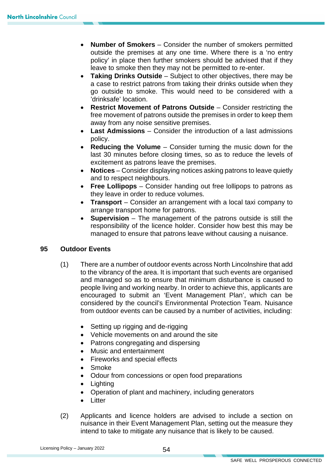- outside the premises at any one time. Where there is a 'no entry • **Number of Smokers** – Consider the number of smokers permitted policy' in place then further smokers should be advised that if they leave to smoke then they may not be permitted to re-enter.
- • **Taking Drinks Outside** Subject to other objectives, there may be a case to restrict patrons from taking their drinks outside when they go outside to smoke. This would need to be considered with a 'drinksafe' location.
- away from any noise sensitive premises. **Restrict Movement of Patrons Outside** – Consider restricting the free movement of patrons outside the premises in order to keep them
- • **Last Admissions** Consider the introduction of a last admissions policy.
- **Reducing the Volume** Consider turning the music down for the last 30 minutes before closing times, so as to reduce the levels of excitement as patrons leave the premises.
- **Notices** Consider displaying notices asking patrons to leave quietly and to respect neighbours.
- • **Free Lollipops**  Consider handing out free lollipops to patrons as they leave in order to reduce volumes.
- • **Transport**  Consider an arrangement with a local taxi company to arrange transport home for patrons.
- responsibility of the licence holder. Consider how best this may be **Supervision** – The management of the patrons outside is still the managed to ensure that patrons leave without causing a nuisance.

#### **95 Outdoor Events**

- (1) There are a number of outdoor events across North Lincolnshire that add people living and working nearby. In order to achieve this, applicants are from outdoor events can be caused by a number of activities, including: to the vibrancy of the area. It is important that such events are organised and managed so as to ensure that minimum disturbance is caused to encouraged to submit an 'Event Management Plan', which can be considered by the council's Environmental Protection Team. Nuisance
	- Setting up rigging and de-rigging
	- Vehicle movements on and around the site
	- Patrons congregating and dispersing
	- Music and entertainment
	- Fireworks and special effects
	- $\bullet$ • Smoke
	- Odour from concessions or open food preparations
	- Lighting
	- Operation of plant and machinery, including generators
	- Litter
- (2) Applicants and licence holders are advised to include a section on nuisance in their Event Management Plan, setting out the measure they intend to take to mitigate any nuisance that is likely to be caused.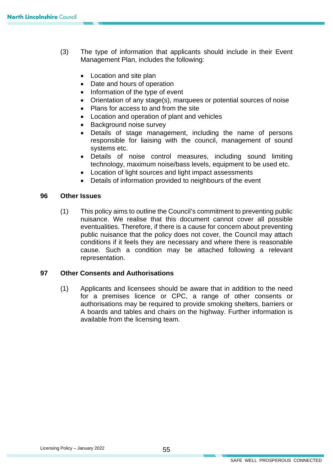- (3) The type of information that applicants should include in their Event Management Plan, includes the following:
	- Location and site plan
	- Date and hours of operation
	- Information of the type of event
	- Orientation of any stage(s), marquees or potential sources of noise
	- Plans for access to and from the site
	- Location and operation of plant and vehicles
	- Background noise survey
	- Details of stage management, including the name of persons responsible for liaising with the council, management of sound systems etc.
	- Details of noise control measures, including sound limiting technology, maximum noise/bass levels, equipment to be used etc.
	- Location of light sources and light impact assessments
	- Details of information provided to neighbours of the event

#### **96 Other Issues**

 (1) This policy aims to outline the Council's commitment to preventing public nuisance. We realise that this document cannot cover all possible eventualities. Therefore, if there is a cause for concern about preventing public nuisance that the policy does not cover, the Council may attach conditions if it feels they are necessary and where there is reasonable cause. Such a condition may be attached following a relevant representation.

#### **97 Other Consents and Authorisations**

 authorisations may be required to provide smoking shelters, barriers or (1) Applicants and licensees should be aware that in addition to the need for a premises licence or CPC, a range of other consents or A boards and tables and chairs on the highway. Further information is available from the licensing team.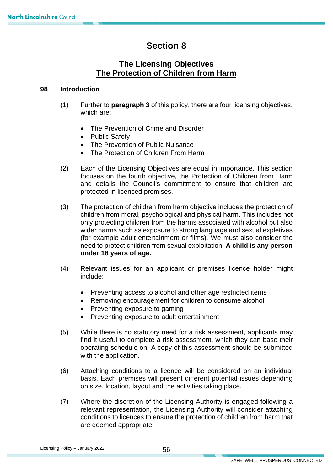## **Section 8**

## **The Licensing Objectives The Protection of Children from Harm**

#### **98 Introduction**

- (1) Further to **paragraph 3** of this policy, there are four licensing objectives, which are:
	- The Prevention of Crime and Disorder
	- Public Safety
	- The Prevention of Public Nuisance
	- The Protection of Children From Harm
- focuses on the fourth objective, the Protection of Children from Harm (2) Each of the Licensing Objectives are equal in importance. This section and details the Council's commitment to ensure that children are protected in licensed premises.
- (3) The protection of children from harm objective includes the protection of children from moral, psychological and physical harm. This includes not only protecting children from the harms associated with alcohol but also wider harms such as exposure to strong language and sexual expletives (for example adult entertainment or films). We must also consider the need to protect children from sexual exploitation. **A child is any person under 18 years of age.**
- (4) Relevant issues for an applicant or premises licence holder might include:
	- Preventing access to alcohol and other age restricted items
	- Removing encouragement for children to consume alcohol
	- Preventing exposure to gaming
	- Preventing exposure to adult entertainment
- (5) While there is no statutory need for a risk assessment, applicants may find it useful to complete a risk assessment, which they can base their operating schedule on. A copy of this assessment should be submitted with the application.
- (6) Attaching conditions to a licence will be considered on an individual basis. Each premises will present different potential issues depending on size, location, layout and the activities taking place.
- (7) Where the discretion of the Licensing Authority is engaged following a relevant representation, the Licensing Authority will consider attaching conditions to licences to ensure the protection of children from harm that are deemed appropriate.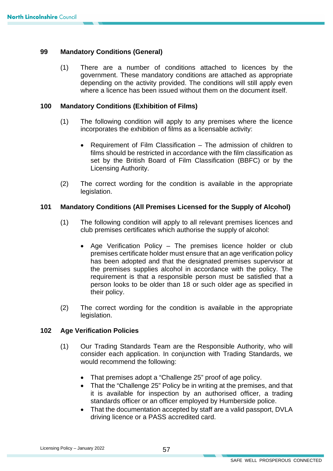#### **99 Mandatory Conditions (General)**

 (1) There are a number of conditions attached to licences by the government. These mandatory conditions are attached as appropriate depending on the activity provided. The conditions will still apply even where a licence has been issued without them on the document itself.

#### **100 Mandatory Conditions (Exhibition of Films)**

- (1) The following condition will apply to any premises where the licence incorporates the exhibition of films as a licensable activity:
	- Requirement of Film Classification The admission of children to films should be restricted in accordance with the film classification as set by the British Board of Film Classification (BBFC) or by the Licensing Authority.
- $(2)$ The correct wording for the condition is available in the appropriate legislation.

#### **101 Mandatory Conditions (All Premises Licensed for the Supply of Alcohol)**

- (1) The following condition will apply to all relevant premises licences and club premises certificates which authorise the supply of alcohol:
	- requirement is that a responsible person must be satisfied that a • Age Verification Policy – The premises licence holder or club premises certificate holder must ensure that an age verification policy has been adopted and that the designated premises supervisor at the premises supplies alcohol in accordance with the policy. The person looks to be older than 18 or such older age as specified in their policy.
- $(2)$ The correct wording for the condition is available in the appropriate legislation.

#### **102 Age Verification Policies**

- (1) Our Trading Standards Team are the Responsible Authority, who will consider each application. In conjunction with Trading Standards, we would recommend the following:
	- That premises adopt a "Challenge 25" proof of age policy.
	- standards officer or an officer employed by Humberside police. • That the "Challenge 25" Policy be in writing at the premises, and that it is available for inspection by an authorised officer, a trading
	- That the documentation accepted by staff are a valid passport, DVLA driving licence or a PASS accredited card.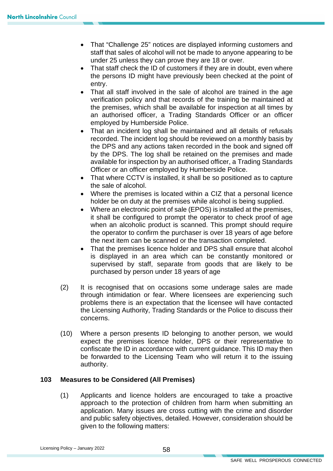- staff that sales of alcohol will not be made to anyone appearing to be • That "Challenge 25" notices are displayed informing customers and under 25 unless they can prove they are 18 or over.
- That staff check the ID of customers if they are in doubt, even where the persons ID might have previously been checked at the point of entry.
- verification policy and that records of the training be maintained at • That all staff involved in the sale of alcohol are trained in the age the premises, which shall be available for inspection at all times by an authorised officer, a Trading Standards Officer or an officer employed by Humberside Police.
- recorded. The incident log should be reviewed on a monthly basis by the DPS and any actions taken recorded in the book and signed off • That an incident log shall be maintained and all details of refusals by the DPS. The log shall be retained on the premises and made available for inspection by an authorised officer, a Trading Standards Officer or an officer employed by Humberside Police.
- That where CCTV is installed, it shall be so positioned as to capture the sale of alcohol.
- holder be on duty at the premises while alcohol is being supplied. • Where the premises is located within a CIZ that a personal licence
- it shall be configured to prompt the operator to check proof of age • Where an electronic point of sale (EPOS) is installed at the premises, when an alcoholic product is scanned. This prompt should require the operator to confirm the purchaser is over 18 years of age before the next item can be scanned or the transaction completed.
- supervised by staff, separate from goods that are likely to be That the premises licence holder and DPS shall ensure that alcohol is displayed in an area which can be constantly monitored or purchased by person under 18 years of age
- (2) It is recognised that on occasions some underage sales are made through intimidation or fear. Where licensees are experiencing such problems there is an expectation that the licensee will have contacted the Licensing Authority, Trading Standards or the Police to discuss their concerns.
- (10) Where a person presents ID belonging to another person, we would expect the premises licence holder, DPS or their representative to confiscate the ID in accordance with current guidance. This ID may then be forwarded to the Licensing Team who will return it to the issuing authority.

#### **103 Measures to be Considered (All Premises)**

(1) Applicants and licence holders are encouraged to take a proactive approach to the protection of children from harm when submitting an application. Many issues are cross cutting with the crime and disorder and public safety objectives, detailed. However, consideration should be given to the following matters: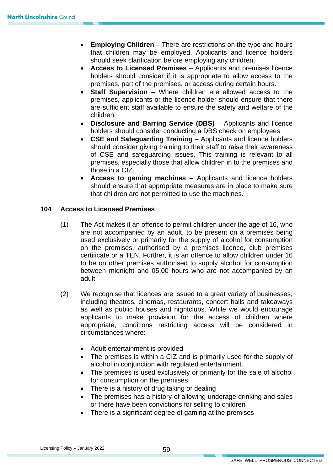- **Employing Children** There are restrictions on the type and hours that children may be employed. Applicants and licence holders should seek clarification before employing any children.
- **Access to Licensed Premises** Applicants and premises licence holders should consider if it is appropriate to allow access to the premises, part of the premises, or access during certain hours.
- premises, applicants or the licence holder should ensure that there **Staff Supervision** – Where children are allowed access to the are sufficient staff available to ensure the safety and welfare of the children.
- **Disclosure and Barring Service (DBS)** Applicants and licence holders should consider conducting a DBS check on employees
- **CSE and Safeguarding Training** Applicants and licence holders should consider giving training to their staff to raise their awareness of CSE and safeguarding issues. This training is relevant to all premises, especially those that allow children in to the premises and those in a CIZ.
- should ensure that appropriate measures are in place to make sure • **Access to gaming machines** – Applicants and licence holders that children are not permitted to use the machines.

#### **104 Access to Licensed Premises**

- are not accompanied by an adult, to be present on a premises being certificate or a TEN. Further, it is an offence to allow children under 16 between midnight and 05.00 hours who are not accompanied by an (1) The Act makes it an offence to permit children under the age of 16, who used exclusively or primarily for the supply of alcohol for consumption on the premises, authorised by a premises licence, club premises to be on other premises authorised to supply alcohol for consumption adult.
- including theatres, cinemas, restaurants, concert halls and takeaways (2) We recognise that licences are issued to a great variety of businesses, as well as public houses and nightclubs. While we would encourage applicants to make provision for the access of children where appropriate, conditions restricting access will be considered in circumstances where:
	- Adult entertainment is provided
	- • The premises is within a CIZ and is primarily used for the supply of alcohol in conjunction with regulated entertainment.
	- The premises is used exclusively or primarily for the sale of alcohol for consumption on the premises
	- There is a history of drug taking or dealing
	- • The premises has a history of allowing underage drinking and sales or there have been convictions for selling to children
	- There is a significant degree of gaming at the premises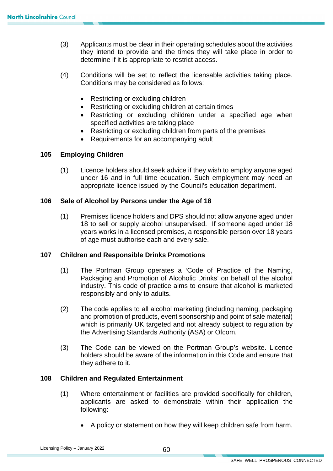- (3) Applicants must be clear in their operating schedules about the activities they intend to provide and the times they will take place in order to determine if it is appropriate to restrict access.
- (4) Conditions will be set to reflect the licensable activities taking place. Conditions may be considered as follows:
	- Restricting or excluding children
	- Restricting or excluding children at certain times
	- Restricting or excluding children under a specified age when specified activities are taking place
	- Restricting or excluding children from parts of the premises
	- Requirements for an accompanying adult

#### **105 Employing Children**

(1) Licence holders should seek advice if they wish to employ anyone aged under 16 and in full time education. Such employment may need an appropriate licence issued by the Council's education department.

#### **106 Sale of Alcohol by Persons under the Age of 18**

(1) Premises licence holders and DPS should not allow anyone aged under 18 to sell or supply alcohol unsupervised. If someone aged under 18 years works in a licensed premises, a responsible person over 18 years of age must authorise each and every sale.

#### **107 Children and Responsible Drinks Promotions**

- industry. This code of practice aims to ensure that alcohol is marketed (1) The Portman Group operates a 'Code of Practice of the Naming, Packaging and Promotion of Alcoholic Drinks' on behalf of the alcohol responsibly and only to adults.
- the Advertising Standards Authority (ASA) or Ofcom. (2) The code applies to all alcohol marketing (including naming, packaging and promotion of products, event sponsorship and point of sale material) which is primarily UK targeted and not already subject to regulation by
- (3) The Code can be viewed on the Portman Group's website. Licence holders should be aware of the information in this Code and ensure that they adhere to it.

#### **108 Children and Regulated Entertainment**

- (1) Where entertainment or facilities are provided specifically for children, applicants are asked to demonstrate within their application the following:
	- A policy or statement on how they will keep children safe from harm.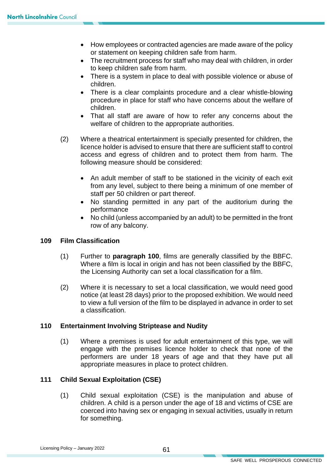- How employees or contracted agencies are made aware of the policy or statement on keeping children safe from harm.
- The recruitment process for staff who may deal with children, in order to keep children safe from harm.
- • There is a system in place to deal with possible violence or abuse of children.
- • There is a clear complaints procedure and a clear whistle-blowing procedure in place for staff who have concerns about the welfare of children.
- • That all staff are aware of how to refer any concerns about the welfare of children to the appropriate authorities.
- access and egress of children and to protect them from harm. The (2) Where a theatrical entertainment is specially presented for children, the licence holder is advised to ensure that there are sufficient staff to control following measure should be considered:
	- • An adult member of staff to be stationed in the vicinity of each exit from any level, subject to there being a minimum of one member of staff per 50 children or part thereof.
	- • No standing permitted in any part of the auditorium during the performance
	- No child (unless accompanied by an adult) to be permitted in the front row of any balcony.

#### **109 Film Classification**

- (1) Further to **paragraph 100**, films are generally classified by the BBFC. Where a film is local in origin and has not been classified by the BBFC, the Licensing Authority can set a local classification for a film.
- (2) Where it is necessary to set a local classification, we would need good to view a full version of the film to be displayed in advance in order to set notice (at least 28 days) prior to the proposed exhibition. We would need a classification.

#### **110 Entertainment Involving Striptease and Nudity**

(1) Where a premises is used for adult entertainment of this type, we will engage with the premises licence holder to check that none of the performers are under 18 years of age and that they have put all appropriate measures in place to protect children.

#### **111 Child Sexual Exploitation (CSE)**

(1) Child sexual exploitation (CSE) is the manipulation and abuse of children. A child is a person under the age of 18 and victims of CSE are coerced into having sex or engaging in sexual activities, usually in return for something.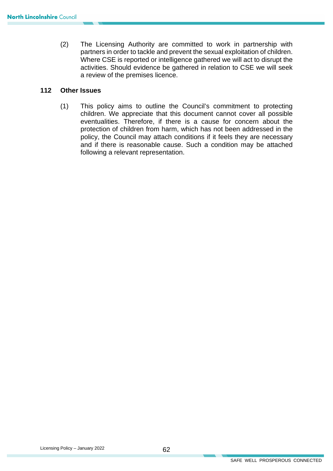(2) The Licensing Authority are committed to work in partnership with partners in order to tackle and prevent the sexual exploitation of children. Where CSE is reported or intelligence gathered we will act to disrupt the activities. Should evidence be gathered in relation to CSE we will seek a review of the premises licence.

#### **112 Other Issues**

 children. We appreciate that this document cannot cover all possible eventualities. Therefore, if there is a cause for concern about the protection of children from harm, which has not been addressed in the (1) This policy aims to outline the Council's commitment to protecting policy, the Council may attach conditions if it feels they are necessary and if there is reasonable cause. Such a condition may be attached following a relevant representation.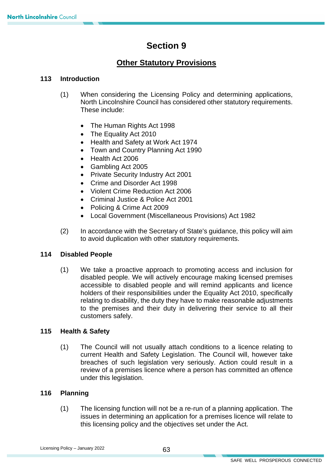## **Section 9**

## **Other Statutory Provisions**

#### **113 Introduction**

- (1) When considering the Licensing Policy and determining applications, North Lincolnshire Council has considered other statutory requirements. These include:
	- The Human Rights Act 1998
	- The Equality Act 2010
	- Health and Safety at Work Act 1974
	- Town and Country Planning Act 1990
	- Health Act 2006
	- Gambling Act 2005
	- Private Security Industry Act 2001
	- Crime and Disorder Act 1998
	- Violent Crime Reduction Act 2006
	- Criminal Justice & Police Act 2001
	- Policing & Crime Act 2009
	- Local Government (Miscellaneous Provisions) Act 1982
- (2) In accordance with the Secretary of State's guidance, this policy will aim to avoid duplication with other statutory requirements.

#### **114 Disabled People**

(1) We take a proactive approach to promoting access and inclusion for disabled people. We will actively encourage making licensed premises accessible to disabled people and will remind applicants and licence holders of their responsibilities under the Equality Act 2010, specifically relating to disability, the duty they have to make reasonable adjustments to the premises and their duty in delivering their service to all their customers safely.

#### **115 Health & Safety**

 current Health and Safety Legislation. The Council will, however take (1) The Council will not usually attach conditions to a licence relating to breaches of such legislation very seriously. Action could result in a review of a premises licence where a person has committed an offence under this legislation.

#### **116 Planning**

 this licensing policy and the objectives set under the Act. (1) The licensing function will not be a re-run of a planning application. The issues in determining an application for a premises licence will relate to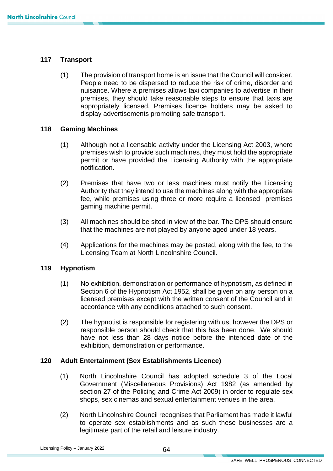#### **117 Transport**

(1) The provision of transport home is an issue that the Council will consider. People need to be dispersed to reduce the risk of crime, disorder and nuisance. Where a premises allows taxi companies to advertise in their premises, they should take reasonable steps to ensure that taxis are appropriately licensed. Premises licence holders may be asked to display advertisements promoting safe transport.

#### **118 Gaming Machines**

- (1) Although not a licensable activity under the Licensing Act 2003, where premises wish to provide such machines, they must hold the appropriate permit or have provided the Licensing Authority with the appropriate notification.
- (2) Premises that have two or less machines must notify the Licensing Authority that they intend to use the machines along with the appropriate fee, while premises using three or more require a licensed premises gaming machine permit.
- that the machines are not played by anyone aged under 18 years. (3) All machines should be sited in view of the bar. The DPS should ensure
- (4) Applications for the machines may be posted, along with the fee, to the Licensing Team at North Lincolnshire Council.

#### **119 Hypnotism**

- (1) No exhibition, demonstration or performance of hypnotism, as defined in Section 6 of the Hypnotism Act 1952, shall be given on any person on a licensed premises except with the written consent of the Council and in accordance with any conditions attached to such consent.
- responsible person should check that this has been done. We should (2) The hypnotist is responsible for registering with us, however the DPS or have not less than 28 days notice before the intended date of the exhibition, demonstration or performance.

#### $120$ **120 Adult Entertainment (Sex Establishments Licence)**

- shops, sex cinemas and sexual entertainment venues in the area. (1) North Lincolnshire Council has adopted schedule 3 of the Local Government (Miscellaneous Provisions) Act 1982 (as amended by section 27 of the Policing and Crime Act 2009) in order to regulate sex
- to operate sex establishments and as such these businesses are a (2) North Lincolnshire Council recognises that Parliament has made it lawful legitimate part of the retail and leisure industry.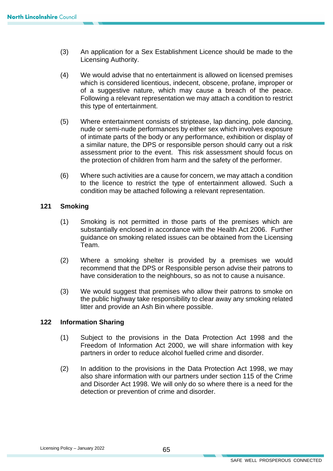- (3) An application for a Sex Establishment Licence should be made to the Licensing Authority.
- of a suggestive nature, which may cause a breach of the peace. (4) We would advise that no entertainment is allowed on licensed premises which is considered licentious, indecent, obscene, profane, improper or Following a relevant representation we may attach a condition to restrict this type of entertainment.
- the protection of children from harm and the safety of the performer. (5) Where entertainment consists of striptease, lap dancing, pole dancing, nude or semi-nude performances by either sex which involves exposure of intimate parts of the body or any performance, exhibition or display of a similar nature, the DPS or responsible person should carry out a risk assessment prior to the event. This risk assessment should focus on
- $t$  (6) Where such activities are a cause for concern, we may attach a condition to the licence to restrict the type of entertainment allowed. Such a condition may be attached following a relevant representation.

#### **121 Smoking**

- (1) Smoking is not permitted in those parts of the premises which are substantially enclosed in accordance with the Health Act 2006. Further guidance on smoking related issues can be obtained from the Licensing Team.
- recommend that the DPS or Responsible person advise their patrons to (2) Where a smoking shelter is provided by a premises we would have consideration to the neighbours, so as not to cause a nuisance.
- (3) We would suggest that premises who allow their patrons to smoke on the public highway take responsibility to clear away any smoking related litter and provide an Ash Bin where possible.

#### **122 Information Sharing**

- (1) Subject to the provisions in the Data Protection Act 1998 and the Freedom of Information Act 2000, we will share information with key partners in order to reduce alcohol fuelled crime and disorder.
- (2) In addition to the provisions in the Data Protection Act 1998, we may also share information with our partners under section 115 of the Crime and Disorder Act 1998. We will only do so where there is a need for the detection or prevention of crime and disorder.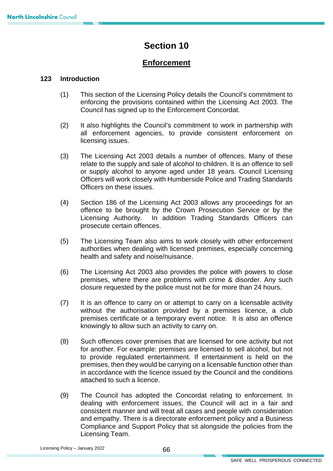## **Section 10**

## **Enforcement**

#### **123 Introduction**

- enforcing the provisions contained within the Licensing Act 2003. The (1) This section of the Licensing Policy details the Council's commitment to Council has signed up to the Enforcement Concordat.
- all enforcement agencies, to provide consistent enforcement on (2) It also highlights the Council's commitment to work in partnership with licensing issues.
- relate to the supply and sale of alcohol to children. It is an offence to sell (3) The Licensing Act 2003 details a number of offences. Many of these or supply alcohol to anyone aged under 18 years. Council Licensing Officers will work closely with Humberside Police and Trading Standards Officers on these issues.
- offence to be brought by the Crown Prosecution Service or by the Licensing Authority. In addition Trading Standards Officers can (4) Section 186 of the Licensing Act 2003 allows any proceedings for an prosecute certain offences.
- (5) The Licensing Team also aims to work closely with other enforcement authorities when dealing with licensed premises, especially concerning health and safety and noise/nuisance.
- premises, where there are problems with crime & disorder. Any such (6) The Licensing Act 2003 also provides the police with powers to close closure requested by the police must not be for more than 24 hours.
- (7) It is an offence to carry on or attempt to carry on a licensable activity without the authorisation provided by a premises licence, a club premises certificate or a temporary event notice. It is also an offence knowingly to allow such an activity to carry on.
- (8) Such offences cover premises that are licensed for one activity but not for another. For example: premises are licensed to sell alcohol, but not to provide regulated entertainment. If entertainment is held on the premises, then they would be carrying on a licensable function other than in accordance with the licence issued by the Council and the conditions attached to such a licence.
- (9) The Council has adopted the Concordat relating to enforcement. In dealing with enforcement issues, the Council will act in a fair and consistent manner and will treat all cases and people with consideration and empathy. There is a directorate enforcement policy and a Business Compliance and Support Policy that sit alongside the policies from the Licensing Team.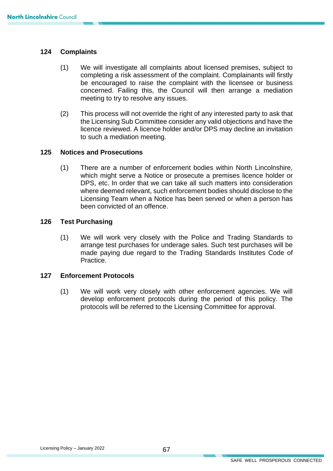#### **124 Complaints**

- $(1)$ We will investigate all complaints about licensed premises, subject to completing a risk assessment of the complaint. Complainants will firstly be encouraged to raise the complaint with the licensee or business concerned. Failing this, the Council will then arrange a mediation meeting to try to resolve any issues.
- (2) This process will not override the right of any interested party to ask that licence reviewed. A licence holder and/or DPS may decline an invitation the Licensing Sub Committee consider any valid objections and have the to such a mediation meeting.

#### **125 Notices and Prosecutions**

(1) There are a number of enforcement bodies within North Lincolnshire, which might serve a Notice or prosecute a premises licence holder or DPS, etc. In order that we can take all such matters into consideration where deemed relevant, such enforcement bodies should disclose to the Licensing Team when a Notice has been served or when a person has been convicted of an offence.

#### **126 Test Purchasing**

 Practice. (1) We will work very closely with the Police and Trading Standards to arrange test purchases for underage sales. Such test purchases will be made paying due regard to the Trading Standards Institutes Code of

#### **127 Enforcement Protocols**

 (1) We will work very closely with other enforcement agencies. We will develop enforcement protocols during the period of this policy. The protocols will be referred to the Licensing Committee for approval.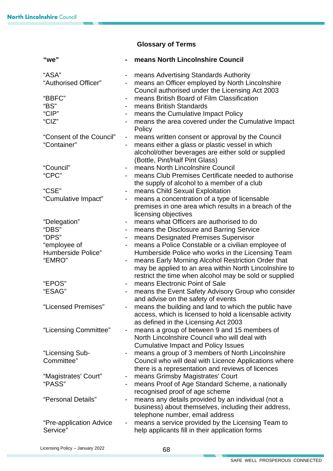## **Glossary of Terms**

| "we"                                    |                              | means North Lincolnshire Council                                                                                                                                                                       |
|-----------------------------------------|------------------------------|--------------------------------------------------------------------------------------------------------------------------------------------------------------------------------------------------------|
| "ASA"<br>"Authorised Officer"           | ۳                            | means Advertising Standards Authority<br>means an Officer employed by North Lincolnshire<br>Council authorised under the Licensing Act 2003                                                            |
| "BBFC"<br>"BS"                          | $\qquad \qquad \blacksquare$ | means British Board of Film Classification<br>means British Standards                                                                                                                                  |
| "CIP"<br>"CIZ"                          | ۰<br>$\blacksquare$          | means the Cumulative Impact Policy<br>means the area covered under the Cumulative Impact                                                                                                               |
| "Consent of the Council"<br>"Container" | ۰<br>۰                       | Policy<br>means written consent or approval by the Council<br>means either a glass or plastic vessel in which<br>alcohol/other beverages are either sold or supplied<br>(Bottle, Pint/Half Pint Glass) |
| "Council"<br>"CPC"                      | $\blacksquare$               | means North Lincolnshire Council<br>means Club Premises Certificate needed to authorise                                                                                                                |
| "CSE"<br>"Cumulative Impact"            | ۰<br>-                       | the supply of alcohol to a member of a club<br>means Child Sexual Exploitation<br>means a concentration of a type of licensable<br>premises in one area which results in a breach of the               |
| "Delegation"                            | ۰.                           | licensing objectives<br>means what Officers are authorised to do                                                                                                                                       |
| "DBS"<br>"DPS"<br>"employee of          | ٠<br>-<br>۰                  | means the Disclosure and Barring Service<br>means Designated Premises Supervisor<br>means a Police Constable or a civilian employee of                                                                 |
| Humberside Police"<br>"EMRO"            |                              | Humberside Police who works in the Licensing Team<br>means Early Morning Alcohol Restriction Order that<br>may be applied to an area within North Lincolnshire to                                      |
| "EPOS"<br>"ESAG"                        | -                            | restrict the time when alcohol may be sold or supplied<br>means Electronic Point of Sale<br>means the Event Safety Advisory Group who consider<br>and advise on the safety of events                   |
| "Licensed Premises"                     |                              | means the building and land to which the public have<br>access, which is licensed to hold a licensable activity<br>as defined in the Licensing Act 2003                                                |
| "Licensing Committee"                   | $\blacksquare$               | means a group of between 9 and 15 members of<br>North Lincolnshire Council who will deal with<br><b>Cumulative Impact and Policy Issues</b>                                                            |
| "Licensing Sub-<br>Committee"           | ۰                            | means a group of 3 members of North Lincolnshire<br>Council who will deal with Licence Applications where<br>there is a representation and reviews of licences                                         |
| "Magistrates' Court"<br>"PASS"          | ۰<br>۰                       | means Grimsby Magistrates' Court<br>means Proof of Age Standard Scheme, a nationally<br>recognised proof of age scheme                                                                                 |
| "Personal Details"                      | ۰                            | means any details provided by an individual (not a<br>business) about themselves, including their address,<br>telephone number, email address                                                          |
| "Pre-application Advice"<br>Service"    | ۰                            | means a service provided by the Licensing Team to<br>help applicants fill in their application forms                                                                                                   |